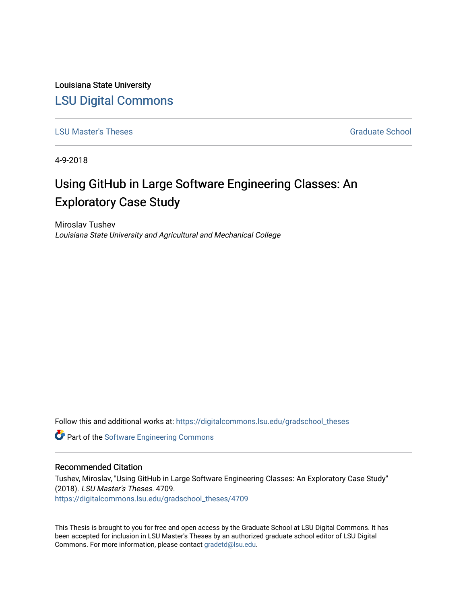Louisiana State University [LSU Digital Commons](https://digitalcommons.lsu.edu/)

[LSU Master's Theses](https://digitalcommons.lsu.edu/gradschool_theses) Graduate School

4-9-2018

# Using GitHub in Large Software Engineering Classes: An Exploratory Case Study

Miroslav Tushev Louisiana State University and Agricultural and Mechanical College

Follow this and additional works at: [https://digitalcommons.lsu.edu/gradschool\\_theses](https://digitalcommons.lsu.edu/gradschool_theses?utm_source=digitalcommons.lsu.edu%2Fgradschool_theses%2F4709&utm_medium=PDF&utm_campaign=PDFCoverPages) 

Part of the [Software Engineering Commons](https://network.bepress.com/hgg/discipline/150?utm_source=digitalcommons.lsu.edu%2Fgradschool_theses%2F4709&utm_medium=PDF&utm_campaign=PDFCoverPages) 

#### Recommended Citation

Tushev, Miroslav, "Using GitHub in Large Software Engineering Classes: An Exploratory Case Study" (2018). LSU Master's Theses. 4709. [https://digitalcommons.lsu.edu/gradschool\\_theses/4709](https://digitalcommons.lsu.edu/gradschool_theses/4709?utm_source=digitalcommons.lsu.edu%2Fgradschool_theses%2F4709&utm_medium=PDF&utm_campaign=PDFCoverPages) 

This Thesis is brought to you for free and open access by the Graduate School at LSU Digital Commons. It has been accepted for inclusion in LSU Master's Theses by an authorized graduate school editor of LSU Digital Commons. For more information, please contact [gradetd@lsu.edu.](mailto:gradetd@lsu.edu)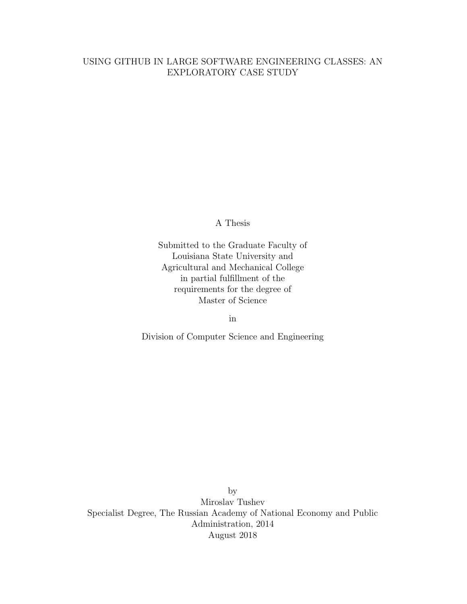#### USING GITHUB IN LARGE SOFTWARE ENGINEERING CLASSES: AN EXPLORATORY CASE STUDY

A Thesis

Submitted to the Graduate Faculty of Louisiana State University and Agricultural and Mechanical College in partial fulfillment of the requirements for the degree of Master of Science

in

Division of Computer Science and Engineering

by Miroslav Tushev Specialist Degree, The Russian Academy of National Economy and Public Administration, 2014 August 2018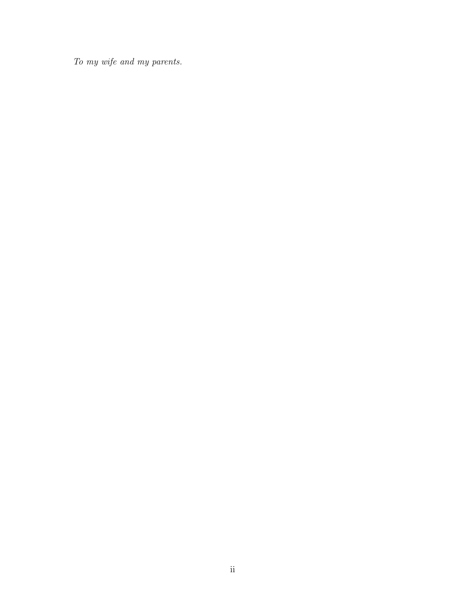To my wife and my parents.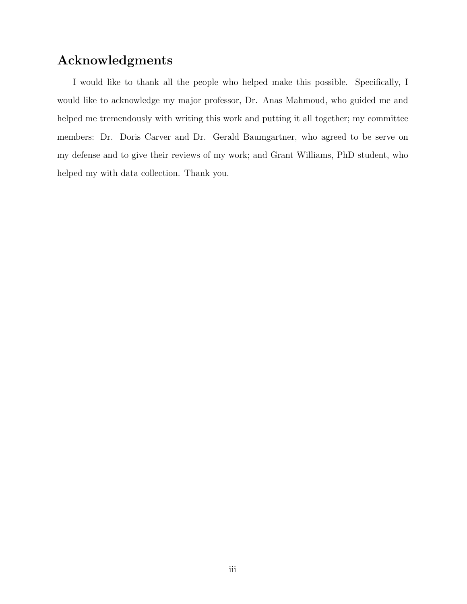### <span id="page-3-0"></span>Acknowledgments

I would like to thank all the people who helped make this possible. Specifically, I would like to acknowledge my major professor, Dr. Anas Mahmoud, who guided me and helped me tremendously with writing this work and putting it all together; my committee members: Dr. Doris Carver and Dr. Gerald Baumgartner, who agreed to be serve on my defense and to give their reviews of my work; and Grant Williams, PhD student, who helped my with data collection. Thank you.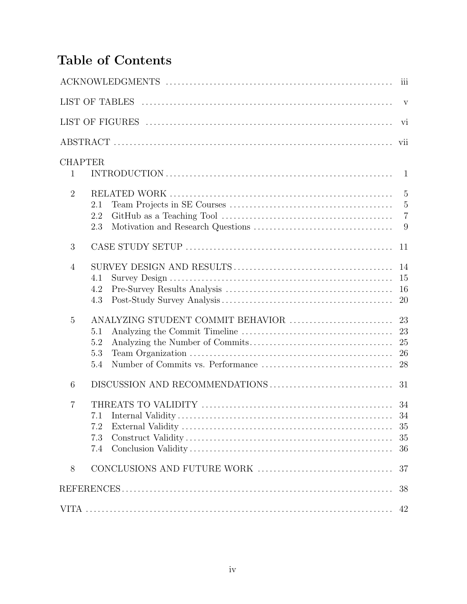# <span id="page-4-0"></span>Table of Contents

|                |                          |                                   | $\overline{\text{iii}}$                                 |
|----------------|--------------------------|-----------------------------------|---------------------------------------------------------|
|                |                          |                                   |                                                         |
|                |                          |                                   | vi                                                      |
|                |                          |                                   | vii                                                     |
| $\mathbf{1}$   | <b>CHAPTER</b>           |                                   | 1                                                       |
| $\overline{2}$ | 2.1<br>2.2<br>2.3        |                                   | $\overline{5}$<br>$\overline{5}$<br>$\overline{7}$<br>9 |
| 3              |                          |                                   | 11                                                      |
| $\overline{4}$ | 4.1<br>4.2<br>4.3        |                                   | 14<br>15<br>16<br><b>20</b>                             |
| 5              | 5.1<br>5.2<br>5.3<br>5.4 | ANALYZING STUDENT COMMIT BEHAVIOR | 23<br>23<br>25<br>26<br>28                              |
| 6              |                          |                                   | 31                                                      |
| 7              | 7.2<br>7.3<br>7.4        |                                   | 34<br>34<br>35<br>35<br>36                              |
| 8              |                          |                                   | 37                                                      |
|                |                          |                                   | 38                                                      |
|                |                          |                                   | 42                                                      |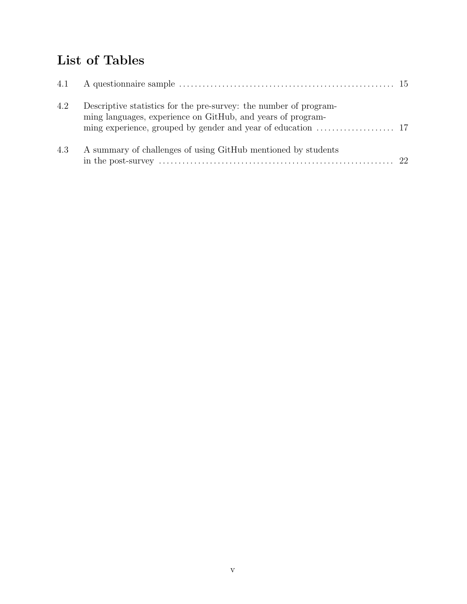## List of Tables

| 4.2 | Descriptive statistics for the pre-survey: the number of program-<br>ming languages, experience on GitHub, and years of program- |  |
|-----|----------------------------------------------------------------------------------------------------------------------------------|--|
| 4.3 | A summary of challenges of using GitHub mentioned by students                                                                    |  |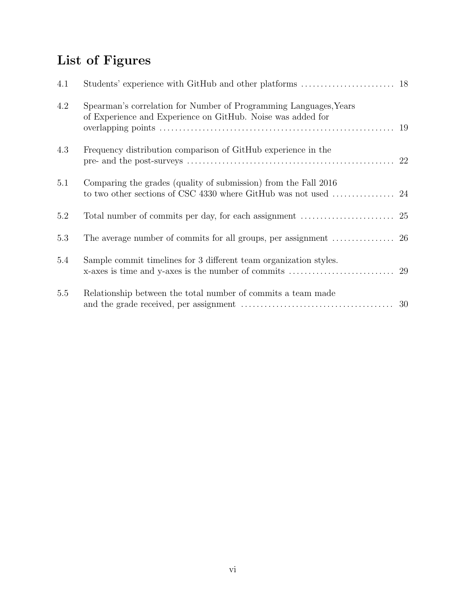# List of Figures

| 4.1 |                                                                                                                                  |    |
|-----|----------------------------------------------------------------------------------------------------------------------------------|----|
| 4.2 | Spearman's correlation for Number of Programming Languages, Years<br>of Experience and Experience on GitHub. Noise was added for | 19 |
| 4.3 | Frequency distribution comparison of GitHub experience in the                                                                    |    |
| 5.1 | Comparing the grades (quality of submission) from the Fall 2016                                                                  |    |
| 5.2 |                                                                                                                                  |    |
| 5.3 | The average number of commits for all groups, per assignment $\dots\dots\dots\dots\dots$ 26                                      |    |
| 5.4 | Sample commit timelines for 3 different team organization styles.<br>x-axes is time and y-axes is the number of commits          | 29 |
| 5.5 | Relationship between the total number of commits a team made                                                                     | 30 |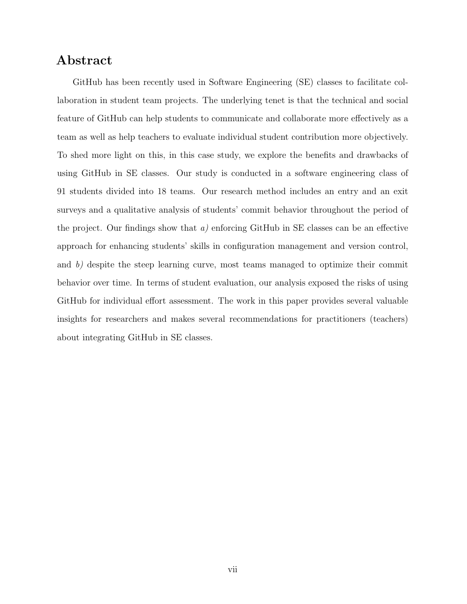### Abstract

GitHub has been recently used in Software Engineering (SE) classes to facilitate collaboration in student team projects. The underlying tenet is that the technical and social feature of GitHub can help students to communicate and collaborate more effectively as a team as well as help teachers to evaluate individual student contribution more objectively. To shed more light on this, in this case study, we explore the benefits and drawbacks of using GitHub in SE classes. Our study is conducted in a software engineering class of 91 students divided into 18 teams. Our research method includes an entry and an exit surveys and a qualitative analysis of students' commit behavior throughout the period of the project. Our findings show that  $a$ ) enforcing GitHub in SE classes can be an effective approach for enhancing students' skills in configuration management and version control, and b) despite the steep learning curve, most teams managed to optimize their commit behavior over time. In terms of student evaluation, our analysis exposed the risks of using GitHub for individual effort assessment. The work in this paper provides several valuable insights for researchers and makes several recommendations for practitioners (teachers) about integrating GitHub in SE classes.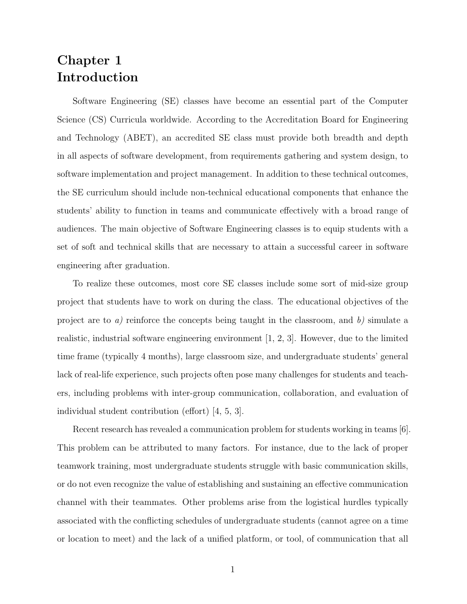### <span id="page-8-0"></span>Chapter 1 Introduction

Software Engineering (SE) classes have become an essential part of the Computer Science (CS) Curricula worldwide. According to the Accreditation Board for Engineering and Technology (ABET), an accredited SE class must provide both breadth and depth in all aspects of software development, from requirements gathering and system design, to software implementation and project management. In addition to these technical outcomes, the SE curriculum should include non-technical educational components that enhance the students' ability to function in teams and communicate effectively with a broad range of audiences. The main objective of Software Engineering classes is to equip students with a set of soft and technical skills that are necessary to attain a successful career in software engineering after graduation.

To realize these outcomes, most core SE classes include some sort of mid-size group project that students have to work on during the class. The educational objectives of the project are to a) reinforce the concepts being taught in the classroom, and b) simulate a realistic, industrial software engineering environment [\[1,](#page-45-0) [2,](#page-45-1) [3\]](#page-45-2). However, due to the limited time frame (typically 4 months), large classroom size, and undergraduate students' general lack of real-life experience, such projects often pose many challenges for students and teachers, including problems with inter-group communication, collaboration, and evaluation of individual student contribution (effort) [\[4,](#page-45-3) [5,](#page-45-4) [3\]](#page-45-2).

Recent research has revealed a communication problem for students working in teams [\[6\]](#page-45-5). This problem can be attributed to many factors. For instance, due to the lack of proper teamwork training, most undergraduate students struggle with basic communication skills, or do not even recognize the value of establishing and sustaining an effective communication channel with their teammates. Other problems arise from the logistical hurdles typically associated with the conflicting schedules of undergraduate students (cannot agree on a time or location to meet) and the lack of a unified platform, or tool, of communication that all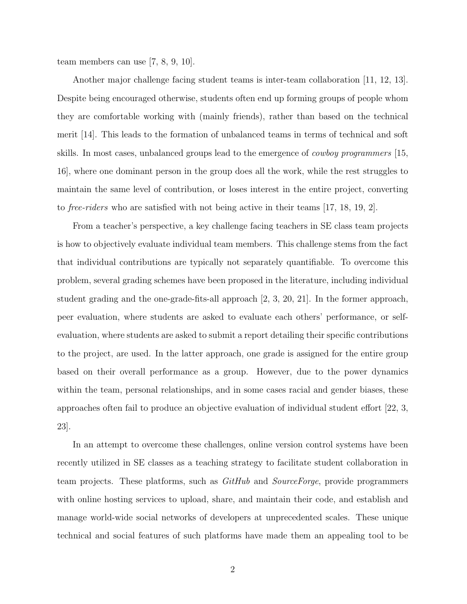team members can use [\[7,](#page-45-6) [8,](#page-45-7) [9,](#page-45-8) [10\]](#page-45-9).

Another major challenge facing student teams is inter-team collaboration [\[11,](#page-45-10) [12,](#page-45-11) [13\]](#page-45-12). Despite being encouraged otherwise, students often end up forming groups of people whom they are comfortable working with (mainly friends), rather than based on the technical merit [\[14\]](#page-46-0). This leads to the formation of unbalanced teams in terms of technical and soft skills. In most cases, unbalanced groups lead to the emergence of *cowboy programmers* [\[15,](#page-46-1) [16\]](#page-46-2), where one dominant person in the group does all the work, while the rest struggles to maintain the same level of contribution, or loses interest in the entire project, converting to free-riders who are satisfied with not being active in their teams [\[17,](#page-46-3) [18,](#page-46-4) [19,](#page-46-5) [2\]](#page-45-1).

From a teacher's perspective, a key challenge facing teachers in SE class team projects is how to objectively evaluate individual team members. This challenge stems from the fact that individual contributions are typically not separately quantifiable. To overcome this problem, several grading schemes have been proposed in the literature, including individual student grading and the one-grade-fits-all approach [\[2,](#page-45-1) [3,](#page-45-2) [20,](#page-46-6) [21\]](#page-46-7). In the former approach, peer evaluation, where students are asked to evaluate each others' performance, or selfevaluation, where students are asked to submit a report detailing their specific contributions to the project, are used. In the latter approach, one grade is assigned for the entire group based on their overall performance as a group. However, due to the power dynamics within the team, personal relationships, and in some cases racial and gender biases, these approaches often fail to produce an objective evaluation of individual student effort [\[22,](#page-46-8) [3,](#page-45-2) [23\]](#page-46-9).

In an attempt to overcome these challenges, online version control systems have been recently utilized in SE classes as a teaching strategy to facilitate student collaboration in team projects. These platforms, such as  $GitHub$  and  $SourceForge$ , provide programmers with online hosting services to upload, share, and maintain their code, and establish and manage world-wide social networks of developers at unprecedented scales. These unique technical and social features of such platforms have made them an appealing tool to be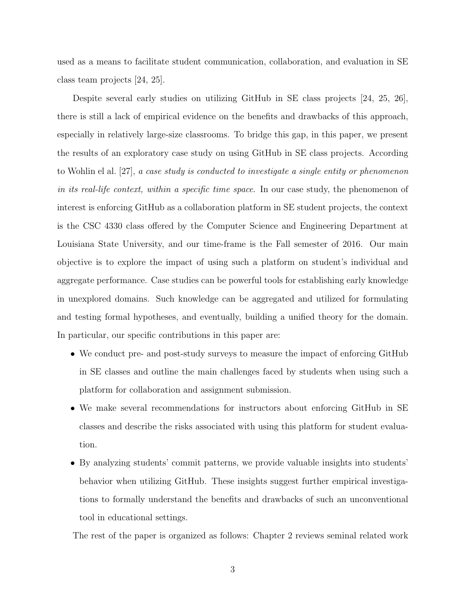used as a means to facilitate student communication, collaboration, and evaluation in SE class team projects [\[24,](#page-46-10) [25\]](#page-46-11).

Despite several early studies on utilizing GitHub in SE class projects [\[24,](#page-46-10) [25,](#page-46-11) [26\]](#page-46-12), there is still a lack of empirical evidence on the benefits and drawbacks of this approach, especially in relatively large-size classrooms. To bridge this gap, in this paper, we present the results of an exploratory case study on using GitHub in SE class projects. According to Wohlin el al. [\[27\]](#page-46-13), a case study is conducted to investigate a single entity or phenomenon in its real-life context, within a specific time space. In our case study, the phenomenon of interest is enforcing GitHub as a collaboration platform in SE student projects, the context is the CSC 4330 class offered by the Computer Science and Engineering Department at Louisiana State University, and our time-frame is the Fall semester of 2016. Our main objective is to explore the impact of using such a platform on student's individual and aggregate performance. Case studies can be powerful tools for establishing early knowledge in unexplored domains. Such knowledge can be aggregated and utilized for formulating and testing formal hypotheses, and eventually, building a unified theory for the domain. In particular, our specific contributions in this paper are:

- We conduct pre- and post-study surveys to measure the impact of enforcing GitHub in SE classes and outline the main challenges faced by students when using such a platform for collaboration and assignment submission.
- We make several recommendations for instructors about enforcing GitHub in SE classes and describe the risks associated with using this platform for student evaluation.
- By analyzing students' commit patterns, we provide valuable insights into students' behavior when utilizing GitHub. These insights suggest further empirical investigations to formally understand the benefits and drawbacks of such an unconventional tool in educational settings.

The rest of the paper is organized as follows: Chapter 2 reviews seminal related work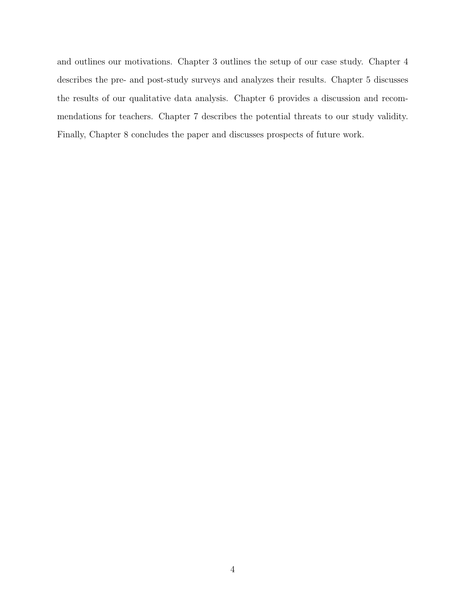and outlines our motivations. Chapter 3 outlines the setup of our case study. Chapter 4 describes the pre- and post-study surveys and analyzes their results. Chapter 5 discusses the results of our qualitative data analysis. Chapter 6 provides a discussion and recommendations for teachers. Chapter 7 describes the potential threats to our study validity. Finally, Chapter 8 concludes the paper and discusses prospects of future work.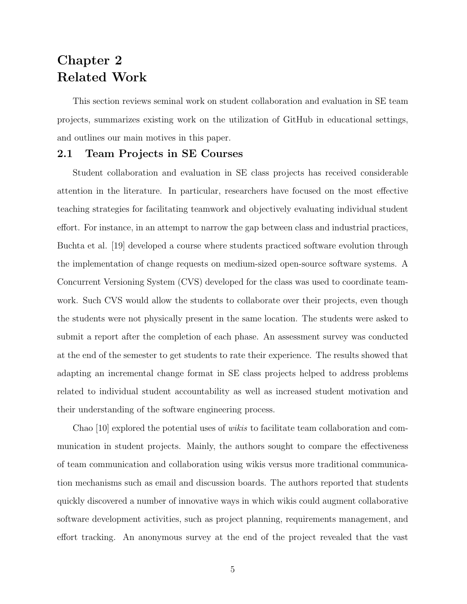### <span id="page-12-0"></span>Chapter 2 Related Work

This section reviews seminal work on student collaboration and evaluation in SE team projects, summarizes existing work on the utilization of GitHub in educational settings, and outlines our main motives in this paper.

#### <span id="page-12-1"></span>2.1 Team Projects in SE Courses

Student collaboration and evaluation in SE class projects has received considerable attention in the literature. In particular, researchers have focused on the most effective teaching strategies for facilitating teamwork and objectively evaluating individual student effort. For instance, in an attempt to narrow the gap between class and industrial practices, Buchta et al. [\[19\]](#page-46-5) developed a course where students practiced software evolution through the implementation of change requests on medium-sized open-source software systems. A Concurrent Versioning System (CVS) developed for the class was used to coordinate teamwork. Such CVS would allow the students to collaborate over their projects, even though the students were not physically present in the same location. The students were asked to submit a report after the completion of each phase. An assessment survey was conducted at the end of the semester to get students to rate their experience. The results showed that adapting an incremental change format in SE class projects helped to address problems related to individual student accountability as well as increased student motivation and their understanding of the software engineering process.

Chao [\[10\]](#page-45-9) explored the potential uses of wikis to facilitate team collaboration and communication in student projects. Mainly, the authors sought to compare the effectiveness of team communication and collaboration using wikis versus more traditional communication mechanisms such as email and discussion boards. The authors reported that students quickly discovered a number of innovative ways in which wikis could augment collaborative software development activities, such as project planning, requirements management, and effort tracking. An anonymous survey at the end of the project revealed that the vast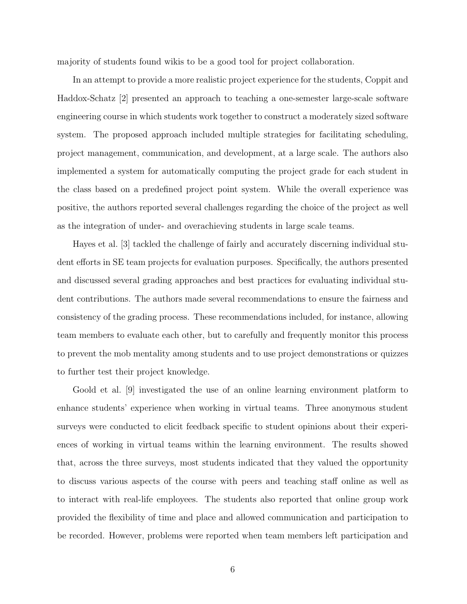majority of students found wikis to be a good tool for project collaboration.

In an attempt to provide a more realistic project experience for the students, Coppit and Haddox-Schatz [\[2\]](#page-45-1) presented an approach to teaching a one-semester large-scale software engineering course in which students work together to construct a moderately sized software system. The proposed approach included multiple strategies for facilitating scheduling, project management, communication, and development, at a large scale. The authors also implemented a system for automatically computing the project grade for each student in the class based on a predefined project point system. While the overall experience was positive, the authors reported several challenges regarding the choice of the project as well as the integration of under- and overachieving students in large scale teams.

Hayes et al. [\[3\]](#page-45-2) tackled the challenge of fairly and accurately discerning individual student efforts in SE team projects for evaluation purposes. Specifically, the authors presented and discussed several grading approaches and best practices for evaluating individual student contributions. The authors made several recommendations to ensure the fairness and consistency of the grading process. These recommendations included, for instance, allowing team members to evaluate each other, but to carefully and frequently monitor this process to prevent the mob mentality among students and to use project demonstrations or quizzes to further test their project knowledge.

Goold et al. [\[9\]](#page-45-8) investigated the use of an online learning environment platform to enhance students' experience when working in virtual teams. Three anonymous student surveys were conducted to elicit feedback specific to student opinions about their experiences of working in virtual teams within the learning environment. The results showed that, across the three surveys, most students indicated that they valued the opportunity to discuss various aspects of the course with peers and teaching staff online as well as to interact with real-life employees. The students also reported that online group work provided the flexibility of time and place and allowed communication and participation to be recorded. However, problems were reported when team members left participation and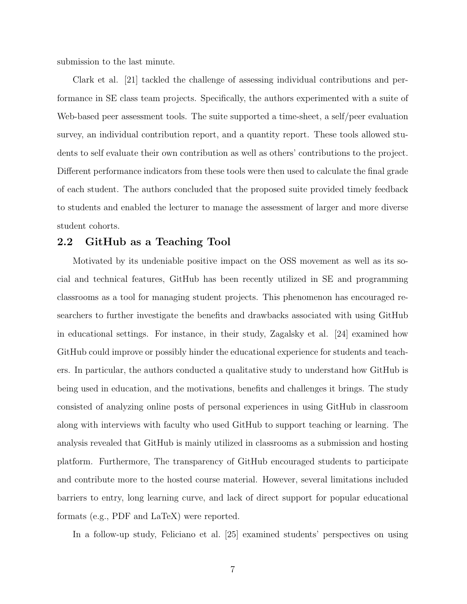submission to the last minute.

Clark et al. [\[21\]](#page-46-7) tackled the challenge of assessing individual contributions and performance in SE class team projects. Specifically, the authors experimented with a suite of Web-based peer assessment tools. The suite supported a time-sheet, a self/peer evaluation survey, an individual contribution report, and a quantity report. These tools allowed students to self evaluate their own contribution as well as others' contributions to the project. Different performance indicators from these tools were then used to calculate the final grade of each student. The authors concluded that the proposed suite provided timely feedback to students and enabled the lecturer to manage the assessment of larger and more diverse student cohorts.

#### <span id="page-14-0"></span>2.2 GitHub as a Teaching Tool

Motivated by its undeniable positive impact on the OSS movement as well as its social and technical features, GitHub has been recently utilized in SE and programming classrooms as a tool for managing student projects. This phenomenon has encouraged researchers to further investigate the benefits and drawbacks associated with using GitHub in educational settings. For instance, in their study, Zagalsky et al. [\[24\]](#page-46-10) examined how GitHub could improve or possibly hinder the educational experience for students and teachers. In particular, the authors conducted a qualitative study to understand how GitHub is being used in education, and the motivations, benefits and challenges it brings. The study consisted of analyzing online posts of personal experiences in using GitHub in classroom along with interviews with faculty who used GitHub to support teaching or learning. The analysis revealed that GitHub is mainly utilized in classrooms as a submission and hosting platform. Furthermore, The transparency of GitHub encouraged students to participate and contribute more to the hosted course material. However, several limitations included barriers to entry, long learning curve, and lack of direct support for popular educational formats (e.g., PDF and LaTeX) were reported.

In a follow-up study, Feliciano et al. [\[25\]](#page-46-11) examined students' perspectives on using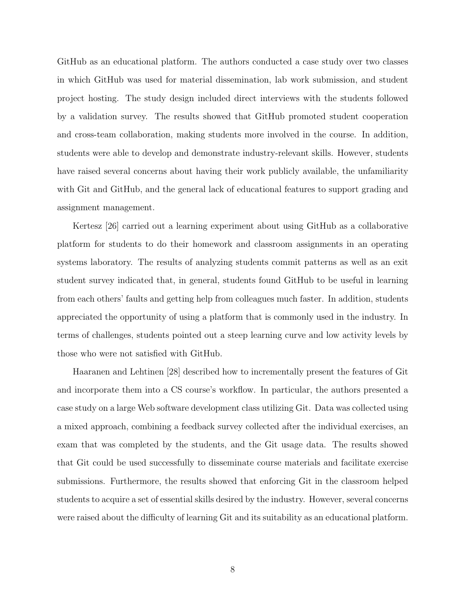GitHub as an educational platform. The authors conducted a case study over two classes in which GitHub was used for material dissemination, lab work submission, and student project hosting. The study design included direct interviews with the students followed by a validation survey. The results showed that GitHub promoted student cooperation and cross-team collaboration, making students more involved in the course. In addition, students were able to develop and demonstrate industry-relevant skills. However, students have raised several concerns about having their work publicly available, the unfamiliarity with Git and GitHub, and the general lack of educational features to support grading and assignment management.

Kertesz [\[26\]](#page-46-12) carried out a learning experiment about using GitHub as a collaborative platform for students to do their homework and classroom assignments in an operating systems laboratory. The results of analyzing students commit patterns as well as an exit student survey indicated that, in general, students found GitHub to be useful in learning from each others' faults and getting help from colleagues much faster. In addition, students appreciated the opportunity of using a platform that is commonly used in the industry. In terms of challenges, students pointed out a steep learning curve and low activity levels by those who were not satisfied with GitHub.

Haaranen and Lehtinen [\[28\]](#page-46-14) described how to incrementally present the features of Git and incorporate them into a CS course's workflow. In particular, the authors presented a case study on a large Web software development class utilizing Git. Data was collected using a mixed approach, combining a feedback survey collected after the individual exercises, an exam that was completed by the students, and the Git usage data. The results showed that Git could be used successfully to disseminate course materials and facilitate exercise submissions. Furthermore, the results showed that enforcing Git in the classroom helped students to acquire a set of essential skills desired by the industry. However, several concerns were raised about the difficulty of learning Git and its suitability as an educational platform.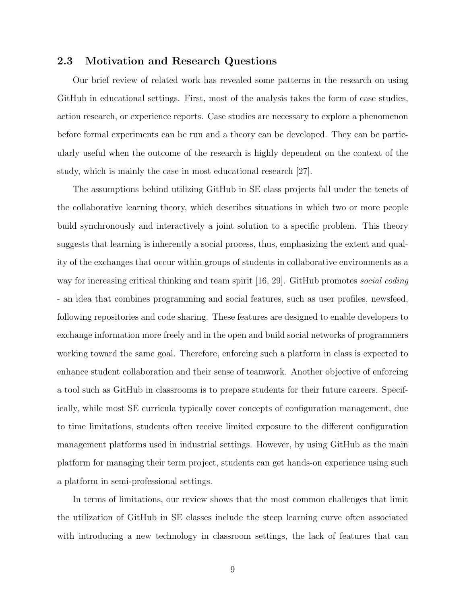#### <span id="page-16-0"></span>2.3 Motivation and Research Questions

Our brief review of related work has revealed some patterns in the research on using GitHub in educational settings. First, most of the analysis takes the form of case studies, action research, or experience reports. Case studies are necessary to explore a phenomenon before formal experiments can be run and a theory can be developed. They can be particularly useful when the outcome of the research is highly dependent on the context of the study, which is mainly the case in most educational research [\[27\]](#page-46-13).

The assumptions behind utilizing GitHub in SE class projects fall under the tenets of the collaborative learning theory, which describes situations in which two or more people build synchronously and interactively a joint solution to a specific problem. This theory suggests that learning is inherently a social process, thus, emphasizing the extent and quality of the exchanges that occur within groups of students in collaborative environments as a way for increasing critical thinking and team spirit [\[16,](#page-46-2) [29\]](#page-47-0). GitHub promotes social coding - an idea that combines programming and social features, such as user profiles, newsfeed, following repositories and code sharing. These features are designed to enable developers to exchange information more freely and in the open and build social networks of programmers working toward the same goal. Therefore, enforcing such a platform in class is expected to enhance student collaboration and their sense of teamwork. Another objective of enforcing a tool such as GitHub in classrooms is to prepare students for their future careers. Specifically, while most SE curricula typically cover concepts of configuration management, due to time limitations, students often receive limited exposure to the different configuration management platforms used in industrial settings. However, by using GitHub as the main platform for managing their term project, students can get hands-on experience using such a platform in semi-professional settings.

In terms of limitations, our review shows that the most common challenges that limit the utilization of GitHub in SE classes include the steep learning curve often associated with introducing a new technology in classroom settings, the lack of features that can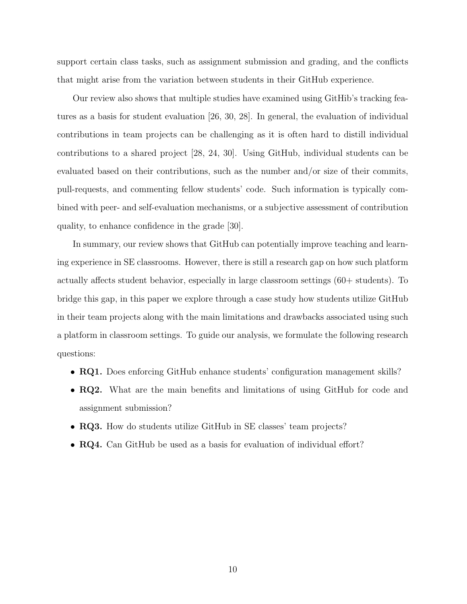support certain class tasks, such as assignment submission and grading, and the conflicts that might arise from the variation between students in their GitHub experience.

Our review also shows that multiple studies have examined using GitHib's tracking features as a basis for student evaluation [\[26,](#page-46-12) [30,](#page-47-1) [28\]](#page-46-14). In general, the evaluation of individual contributions in team projects can be challenging as it is often hard to distill individual contributions to a shared project [\[28,](#page-46-14) [24,](#page-46-10) [30\]](#page-47-1). Using GitHub, individual students can be evaluated based on their contributions, such as the number and/or size of their commits, pull-requests, and commenting fellow students' code. Such information is typically combined with peer- and self-evaluation mechanisms, or a subjective assessment of contribution quality, to enhance confidence in the grade [\[30\]](#page-47-1).

In summary, our review shows that GitHub can potentially improve teaching and learning experience in SE classrooms. However, there is still a research gap on how such platform actually affects student behavior, especially in large classroom settings (60+ students). To bridge this gap, in this paper we explore through a case study how students utilize GitHub in their team projects along with the main limitations and drawbacks associated using such a platform in classroom settings. To guide our analysis, we formulate the following research questions:

- **RQ1.** Does enforcing GitHub enhance students' configuration management skills?
- RQ2. What are the main benefits and limitations of using GitHub for code and assignment submission?
- RQ3. How do students utilize GitHub in SE classes' team projects?
- **RQ4.** Can GitHub be used as a basis for evaluation of individual effort?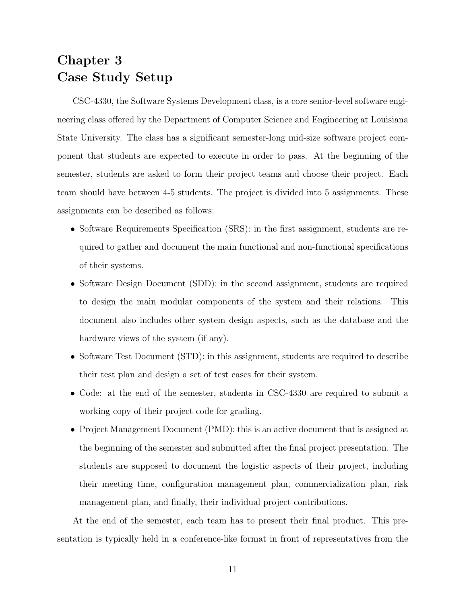### <span id="page-18-0"></span>Chapter 3 Case Study Setup

CSC-4330, the Software Systems Development class, is a core senior-level software engineering class offered by the Department of Computer Science and Engineering at Louisiana State University. The class has a significant semester-long mid-size software project component that students are expected to execute in order to pass. At the beginning of the semester, students are asked to form their project teams and choose their project. Each team should have between 4-5 students. The project is divided into 5 assignments. These assignments can be described as follows:

- Software Requirements Specification (SRS): in the first assignment, students are required to gather and document the main functional and non-functional specifications of their systems.
- Software Design Document (SDD): in the second assignment, students are required to design the main modular components of the system and their relations. This document also includes other system design aspects, such as the database and the hardware views of the system (if any).
- Software Test Document (STD): in this assignment, students are required to describe their test plan and design a set of test cases for their system.
- Code: at the end of the semester, students in CSC-4330 are required to submit a working copy of their project code for grading.
- Project Management Document (PMD): this is an active document that is assigned at the beginning of the semester and submitted after the final project presentation. The students are supposed to document the logistic aspects of their project, including their meeting time, configuration management plan, commercialization plan, risk management plan, and finally, their individual project contributions.

At the end of the semester, each team has to present their final product. This presentation is typically held in a conference-like format in front of representatives from the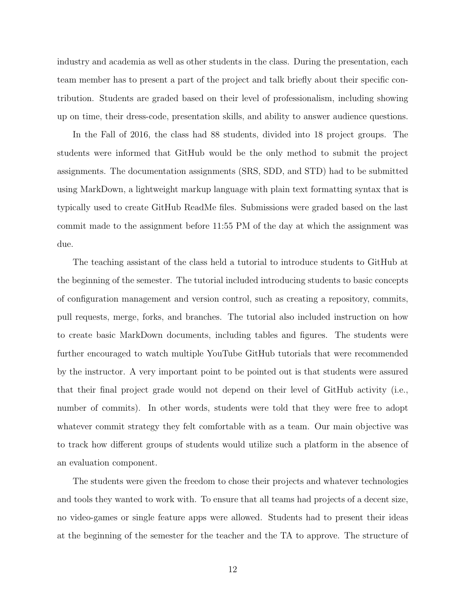industry and academia as well as other students in the class. During the presentation, each team member has to present a part of the project and talk briefly about their specific contribution. Students are graded based on their level of professionalism, including showing up on time, their dress-code, presentation skills, and ability to answer audience questions.

In the Fall of 2016, the class had 88 students, divided into 18 project groups. The students were informed that GitHub would be the only method to submit the project assignments. The documentation assignments (SRS, SDD, and STD) had to be submitted using MarkDown, a lightweight markup language with plain text formatting syntax that is typically used to create GitHub ReadMe files. Submissions were graded based on the last commit made to the assignment before 11:55 PM of the day at which the assignment was due.

The teaching assistant of the class held a tutorial to introduce students to GitHub at the beginning of the semester. The tutorial included introducing students to basic concepts of configuration management and version control, such as creating a repository, commits, pull requests, merge, forks, and branches. The tutorial also included instruction on how to create basic MarkDown documents, including tables and figures. The students were further encouraged to watch multiple YouTube GitHub tutorials that were recommended by the instructor. A very important point to be pointed out is that students were assured that their final project grade would not depend on their level of GitHub activity (i.e., number of commits). In other words, students were told that they were free to adopt whatever commit strategy they felt comfortable with as a team. Our main objective was to track how different groups of students would utilize such a platform in the absence of an evaluation component.

The students were given the freedom to chose their projects and whatever technologies and tools they wanted to work with. To ensure that all teams had projects of a decent size, no video-games or single feature apps were allowed. Students had to present their ideas at the beginning of the semester for the teacher and the TA to approve. The structure of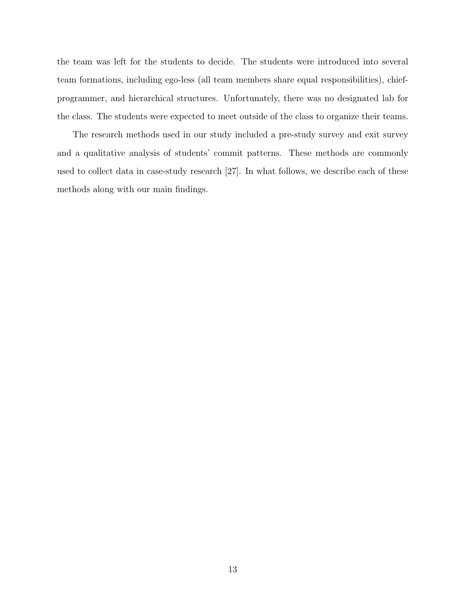the team was left for the students to decide. The students were introduced into several team formations, including ego-less (all team members share equal responsibilities), chiefprogrammer, and hierarchical structures. Unfortunately, there was no designated lab for the class. The students were expected to meet outside of the class to organize their teams.

The research methods used in our study included a pre-study survey and exit survey and a qualitative analysis of students' commit patterns. These methods are commonly used to collect data in case-study research [\[27\]](#page-46-13). In what follows, we describe each of these methods along with our main findings.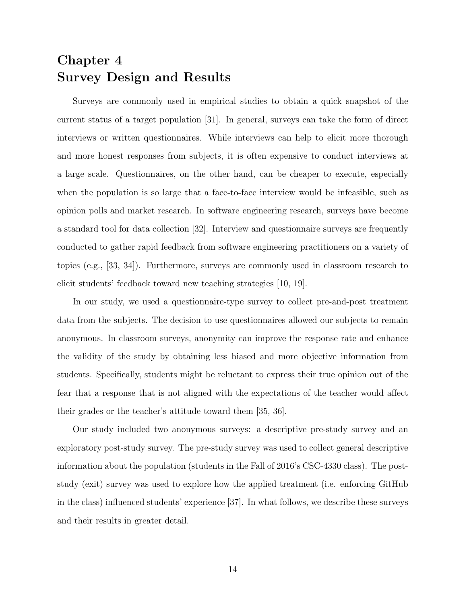## <span id="page-21-0"></span>Chapter 4 Survey Design and Results

Surveys are commonly used in empirical studies to obtain a quick snapshot of the current status of a target population [\[31\]](#page-47-2). In general, surveys can take the form of direct interviews or written questionnaires. While interviews can help to elicit more thorough and more honest responses from subjects, it is often expensive to conduct interviews at a large scale. Questionnaires, on the other hand, can be cheaper to execute, especially when the population is so large that a face-to-face interview would be infeasible, such as opinion polls and market research. In software engineering research, surveys have become a standard tool for data collection [\[32\]](#page-47-3). Interview and questionnaire surveys are frequently conducted to gather rapid feedback from software engineering practitioners on a variety of topics (e.g., [\[33,](#page-47-4) [34\]](#page-47-5)). Furthermore, surveys are commonly used in classroom research to elicit students' feedback toward new teaching strategies [\[10,](#page-45-9) [19\]](#page-46-5).

In our study, we used a questionnaire-type survey to collect pre-and-post treatment data from the subjects. The decision to use questionnaires allowed our subjects to remain anonymous. In classroom surveys, anonymity can improve the response rate and enhance the validity of the study by obtaining less biased and more objective information from students. Specifically, students might be reluctant to express their true opinion out of the fear that a response that is not aligned with the expectations of the teacher would affect their grades or the teacher's attitude toward them [\[35,](#page-47-6) [36\]](#page-47-7).

Our study included two anonymous surveys: a descriptive pre-study survey and an exploratory post-study survey. The pre-study survey was used to collect general descriptive information about the population (students in the Fall of 2016's CSC-4330 class). The poststudy (exit) survey was used to explore how the applied treatment (i.e. enforcing GitHub in the class) influenced students' experience [\[37\]](#page-47-8). In what follows, we describe these surveys and their results in greater detail.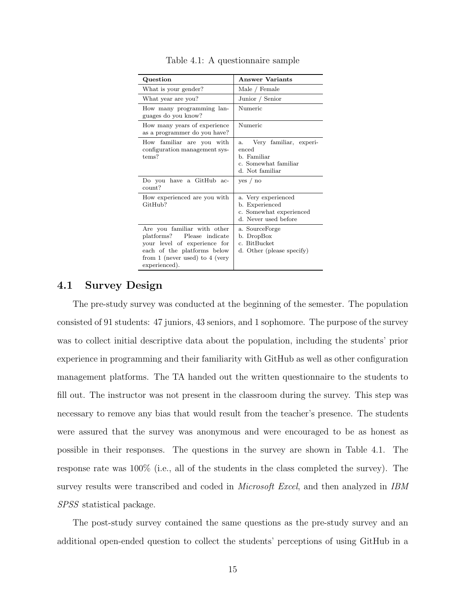<span id="page-22-1"></span>

| Question                                                                                                                                                                                | <b>Answer Variants</b>                                                                          |
|-----------------------------------------------------------------------------------------------------------------------------------------------------------------------------------------|-------------------------------------------------------------------------------------------------|
| What is your gender?                                                                                                                                                                    | Male / Female                                                                                   |
| What year are you?                                                                                                                                                                      | Junior / Senior                                                                                 |
| How many programming lan-<br>guages do you know?                                                                                                                                        | Numeric                                                                                         |
| How many years of experience<br>as a programmer do you have?                                                                                                                            | Numeric                                                                                         |
| How familiar are you with<br>configuration management sys-<br>tems?                                                                                                                     | Very familiar, experi-<br>a.<br>enced<br>b. Familiar<br>c. Somewhat familiar<br>d. Not familiar |
| Do you have a GitHub ac-<br>count?                                                                                                                                                      | ves / no                                                                                        |
| How experienced are you with<br>$G$ it $H$ ub?                                                                                                                                          | a. Very experienced<br>b. Experienced<br>c. Somewhat experienced<br>d. Never used before        |
| Are you familiar with other<br>Please indicate<br>$\text{platforms?}$<br>your level of experience for<br>each of the platforms below<br>from 1 (never used) to 4 (very<br>experienced). | a. SourceForge<br>b. DropBox<br>c. BitBucket<br>d. Other (please specify)                       |

Table 4.1: A questionnaire sample

#### <span id="page-22-0"></span>4.1 Survey Design

The pre-study survey was conducted at the beginning of the semester. The population consisted of 91 students: 47 juniors, 43 seniors, and 1 sophomore. The purpose of the survey was to collect initial descriptive data about the population, including the students' prior experience in programming and their familiarity with GitHub as well as other configuration management platforms. The TA handed out the written questionnaire to the students to fill out. The instructor was not present in the classroom during the survey. This step was necessary to remove any bias that would result from the teacher's presence. The students were assured that the survey was anonymous and were encouraged to be as honest as possible in their responses. The questions in the survey are shown in Table [4.1.](#page-22-1) The response rate was 100% (i.e., all of the students in the class completed the survey). The survey results were transcribed and coded in *Microsoft Excel*, and then analyzed in *IBM* SPSS statistical package.

The post-study survey contained the same questions as the pre-study survey and an additional open-ended question to collect the students' perceptions of using GitHub in a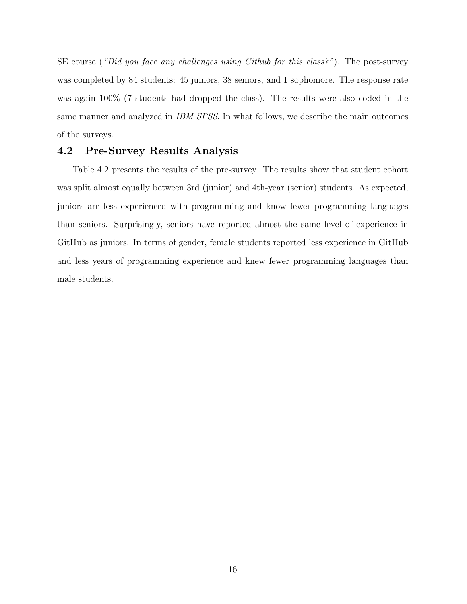SE course ("Did you face any challenges using Github for this class?"). The post-survey was completed by 84 students: 45 juniors, 38 seniors, and 1 sophomore. The response rate was again 100% (7 students had dropped the class). The results were also coded in the same manner and analyzed in IBM SPSS. In what follows, we describe the main outcomes of the surveys.

#### <span id="page-23-0"></span>4.2 Pre-Survey Results Analysis

Table [4.2](#page-24-0) presents the results of the pre-survey. The results show that student cohort was split almost equally between 3rd (junior) and 4th-year (senior) students. As expected, juniors are less experienced with programming and know fewer programming languages than seniors. Surprisingly, seniors have reported almost the same level of experience in GitHub as juniors. In terms of gender, female students reported less experience in GitHub and less years of programming experience and knew fewer programming languages than male students.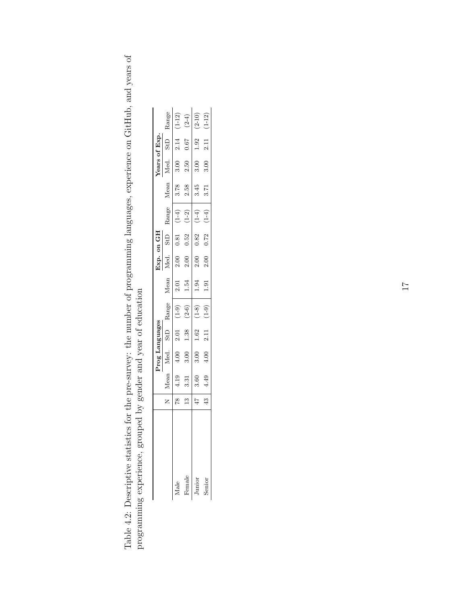| ne pre-survey: the number of programming languages experience on CitHub and veare on |                                          |
|--------------------------------------------------------------------------------------|------------------------------------------|
|                                                                                      |                                          |
|                                                                                      |                                          |
|                                                                                      |                                          |
|                                                                                      |                                          |
|                                                                                      |                                          |
|                                                                                      |                                          |
|                                                                                      | under the control for the second to      |
|                                                                                      | rononan and ran of an and the range<br>į |
|                                                                                      | $\frac{1}{2}$                            |
|                                                                                      | へくこうこう                                   |
|                                                                                      | )<br>2221                                |
|                                                                                      | rcrec crerc to creck cast cast cast      |
|                                                                                      |                                          |
|                                                                                      |                                          |

<span id="page-24-0"></span> $\rm ^o$ 

|        |               |                | Prog Languages |      |         |      | Ĵхр. | on GH           |         |      | Years of Exp |      |            |
|--------|---------------|----------------|----------------|------|---------|------|------|-----------------|---------|------|--------------|------|------------|
|        |               | Mean           | Vled.          | StD  | Range   | Mean | Иed. | St <sub>D</sub> | Range   | Mean | Med.         | StD  | Range      |
| dale   |               | e<br>11        | 4.00           | 2.01 | $(1-9)$ | 2.01 | 2.00 | 0.81            | $(1-4)$ | 3.78 | 3.00         | 2.14 | $(1-12)$   |
| Female | $\frac{3}{2}$ | $\frac{31}{2}$ | 3.00           | 1.38 | $(2-6)$ | 1.54 | 2.00 | 0.52            | $(1-2)$ | 2.58 | 2.50         | 79.0 | $(2-4)$    |
| Junior |               | 3.60           | 3.00           | 1.62 | $(1-8)$ | 1.94 | 2.00 | 0.82            | $(1-4)$ | 3.45 | 3.00         | 92   | $(2-10)$   |
| Senior |               | 4.49           | 4.00           | 2.11 | $(6-1)$ | 1.91 | 2.00 | 0.72            | $(1-4)$ | 3.71 | 3.00         | 2.11 | $(1 - 12)$ |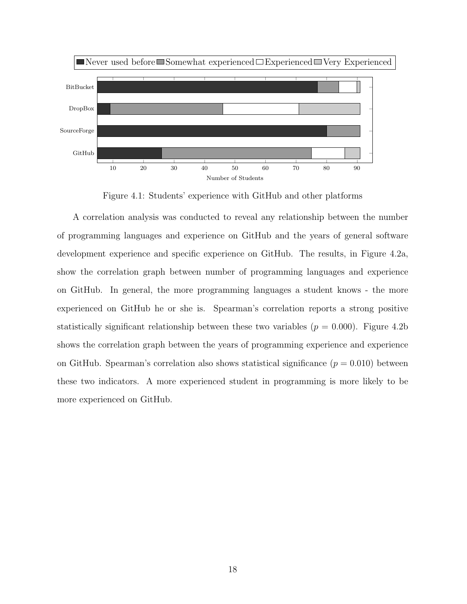<span id="page-25-0"></span>

Figure 4.1: Students' experience with GitHub and other platforms

A correlation analysis was conducted to reveal any relationship between the number of programming languages and experience on GitHub and the years of general software development experience and specific experience on GitHub. The results, in Figure [4.2](#page-26-0)[a,](#page-29-0) show the correlation graph between number of programming languages and experience on GitHub. In general, the more programming languages a student knows - the more experienced on GitHub he or she is. Spearman's correlation reports a strong positive statistically significant relationship [b](#page-29-0)etween these two variables  $(p = 0.000)$ . Figure [4.2](#page-26-0)b shows the correlation graph between the years of programming experience and experience on GitHub. Spearman's correlation also shows statistical significance  $(p = 0.010)$  between these two indicators. A more experienced student in programming is more likely to be more experienced on GitHub.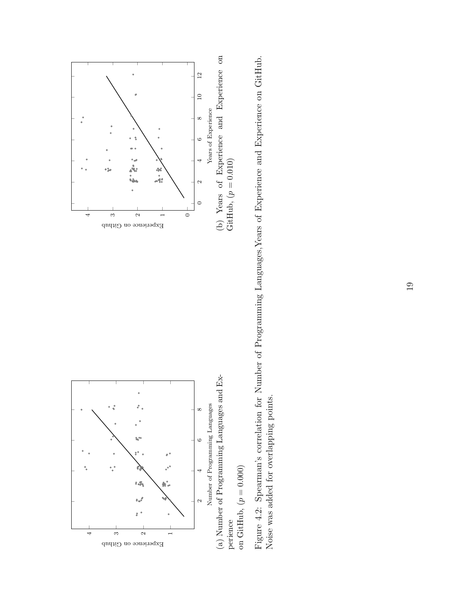<span id="page-26-0"></span>



Figure 4.2: Spearman's correlation for Number of Programming Languages, Years of Experience and Experience on GitHub. Figure 4.2: Spearman's correlation for Number of Programming Languages,Years of Experience and Experience on GitHub. Noise was added for overlapping points. Noise was added for overlapping points.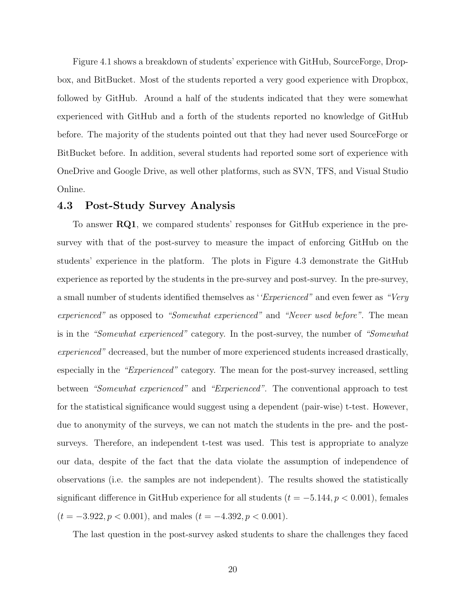Figure [4.1](#page-25-0) shows a breakdown of students' experience with GitHub, SourceForge, Dropbox, and BitBucket. Most of the students reported a very good experience with Dropbox, followed by GitHub. Around a half of the students indicated that they were somewhat experienced with GitHub and a forth of the students reported no knowledge of GitHub before. The majority of the students pointed out that they had never used SourceForge or BitBucket before. In addition, several students had reported some sort of experience with OneDrive and Google Drive, as well other platforms, such as SVN, TFS, and Visual Studio Online.

#### <span id="page-27-0"></span>4.3 Post-Study Survey Analysis

To answer RQ1, we compared students' responses for GitHub experience in the presurvey with that of the post-survey to measure the impact of enforcing GitHub on the students' experience in the platform. The plots in Figure [4.3](#page-29-0) demonstrate the GitHub experience as reported by the students in the pre-survey and post-survey. In the pre-survey, a small number of students identified themselves as "Experienced" and even fewer as "Very experienced" as opposed to "Somewhat experienced" and "Never used before". The mean is in the "Somewhat experienced" category. In the post-survey, the number of "Somewhat experienced" decreased, but the number of more experienced students increased drastically, especially in the "Experienced" category. The mean for the post-survey increased, settling between "Somewhat experienced" and "Experienced". The conventional approach to test for the statistical significance would suggest using a dependent (pair-wise) t-test. However, due to anonymity of the surveys, we can not match the students in the pre- and the postsurveys. Therefore, an independent t-test was used. This test is appropriate to analyze our data, despite of the fact that the data violate the assumption of independence of observations (i.e. the samples are not independent). The results showed the statistically significant difference in GitHub experience for all students  $(t = -5.144, p < 0.001)$ , females  $(t = -3.922, p < 0.001)$ , and males  $(t = -4.392, p < 0.001)$ .

The last question in the post-survey asked students to share the challenges they faced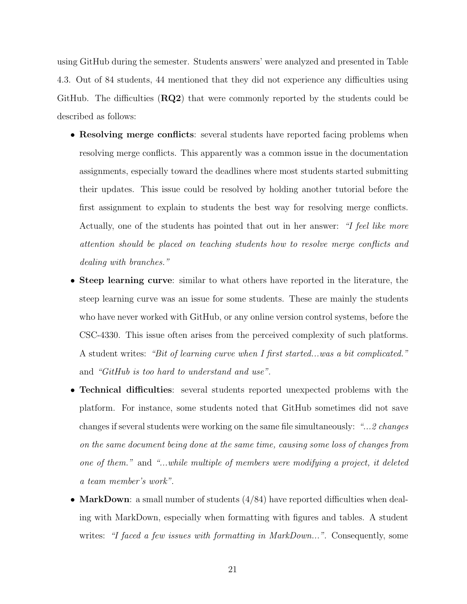using GitHub during the semester. Students answers' were analyzed and presented in Table [4.3.](#page-29-1) Out of 84 students, 44 mentioned that they did not experience any difficulties using GitHub. The difficulties (RQ2) that were commonly reported by the students could be described as follows:

- Resolving merge conflicts: several students have reported facing problems when resolving merge conflicts. This apparently was a common issue in the documentation assignments, especially toward the deadlines where most students started submitting their updates. This issue could be resolved by holding another tutorial before the first assignment to explain to students the best way for resolving merge conflicts. Actually, one of the students has pointed that out in her answer: "I feel like more attention should be placed on teaching students how to resolve merge conflicts and dealing with branches."
- Steep learning curve: similar to what others have reported in the literature, the steep learning curve was an issue for some students. These are mainly the students who have never worked with GitHub, or any online version control systems, before the CSC-4330. This issue often arises from the perceived complexity of such platforms. A student writes: "Bit of learning curve when I first started...was a bit complicated." and "GitHub is too hard to understand and use".
- Technical difficulties: several students reported unexpected problems with the platform. For instance, some students noted that GitHub sometimes did not save changes if several students were working on the same file simultaneously: "... 2 changes on the same document being done at the same time, causing some loss of changes from one of them." and "...while multiple of members were modifying a project, it deleted a team member's work".
- MarkDown: a small number of students  $(4/84)$  have reported difficulties when dealing with MarkDown, especially when formatting with figures and tables. A student writes: "I faced a few issues with formatting in MarkDown...". Consequently, some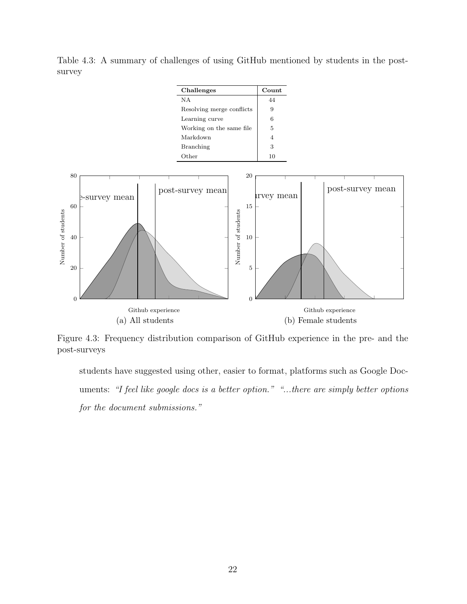<span id="page-29-0"></span>

<span id="page-29-1"></span>Table 4.3: A summary of challenges of using GitHub mentioned by students in the postsurvey

Figure 4.3: Frequency distribution comparison of GitHub experience in the pre- and the post-surveys

students have suggested using other, easier to format, platforms such as Google Documents: "I feel like google docs is a better option." "...there are simply better options for the document submissions."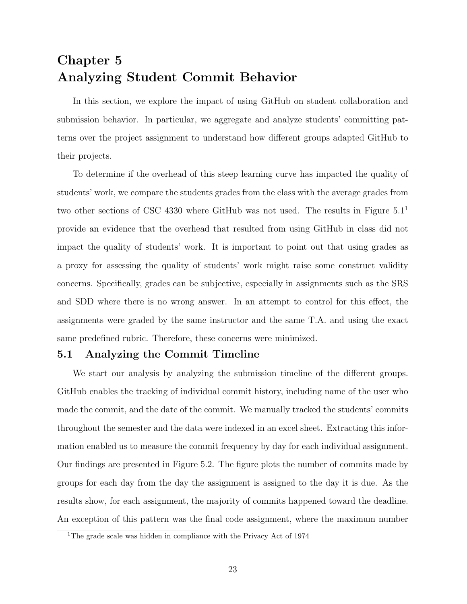## <span id="page-30-0"></span>Chapter 5 Analyzing Student Commit Behavior

In this section, we explore the impact of using GitHub on student collaboration and submission behavior. In particular, we aggregate and analyze students' committing patterns over the project assignment to understand how different groups adapted GitHub to their projects.

To determine if the overhead of this steep learning curve has impacted the quality of students' work, we compare the students grades from the class with the average grades from two other sections of CSC 4330 where GitHub was not used. The results in Figure  $5.1<sup>1</sup>$  $5.1<sup>1</sup>$  $5.1<sup>1</sup>$ provide an evidence that the overhead that resulted from using GitHub in class did not impact the quality of students' work. It is important to point out that using grades as a proxy for assessing the quality of students' work might raise some construct validity concerns. Specifically, grades can be subjective, especially in assignments such as the SRS and SDD where there is no wrong answer. In an attempt to control for this effect, the assignments were graded by the same instructor and the same T.A. and using the exact same predefined rubric. Therefore, these concerns were minimized.

#### <span id="page-30-1"></span>5.1 Analyzing the Commit Timeline

We start our analysis by analyzing the submission timeline of the different groups. GitHub enables the tracking of individual commit history, including name of the user who made the commit, and the date of the commit. We manually tracked the students' commits throughout the semester and the data were indexed in an excel sheet. Extracting this information enabled us to measure the commit frequency by day for each individual assignment. Our findings are presented in Figure [5.2.](#page-32-1) The figure plots the number of commits made by groups for each day from the day the assignment is assigned to the day it is due. As the results show, for each assignment, the majority of commits happened toward the deadline. An exception of this pattern was the final code assignment, where the maximum number

<span id="page-30-2"></span><sup>&</sup>lt;sup>1</sup>The grade scale was hidden in compliance with the Privacy Act of 1974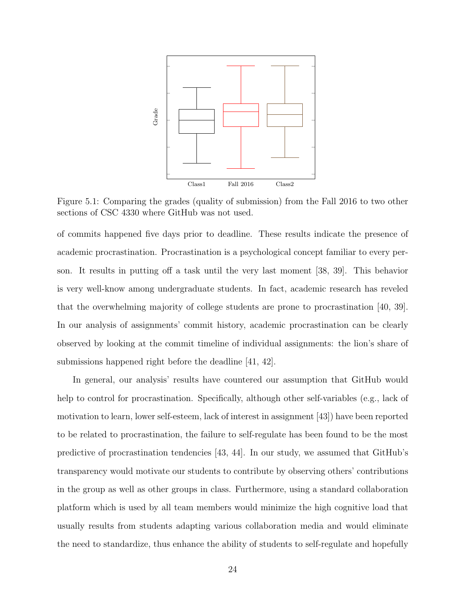<span id="page-31-0"></span>

Figure 5.1: Comparing the grades (quality of submission) from the Fall 2016 to two other sections of CSC 4330 where GitHub was not used.

of commits happened five days prior to deadline. These results indicate the presence of academic procrastination. Procrastination is a psychological concept familiar to every person. It results in putting off a task until the very last moment [\[38,](#page-47-9) [39\]](#page-47-10). This behavior is very well-know among undergraduate students. In fact, academic research has reveled that the overwhelming majority of college students are prone to procrastination [\[40,](#page-47-11) [39\]](#page-47-10). In our analysis of assignments' commit history, academic procrastination can be clearly observed by looking at the commit timeline of individual assignments: the lion's share of submissions happened right before the deadline [\[41,](#page-47-12) [42\]](#page-48-0).

In general, our analysis' results have countered our assumption that GitHub would help to control for procrastination. Specifically, although other self-variables (e.g., lack of motivation to learn, lower self-esteem, lack of interest in assignment [\[43\]](#page-48-1)) have been reported to be related to procrastination, the failure to self-regulate has been found to be the most predictive of procrastination tendencies [\[43,](#page-48-1) [44\]](#page-48-2). In our study, we assumed that GitHub's transparency would motivate our students to contribute by observing others' contributions in the group as well as other groups in class. Furthermore, using a standard collaboration platform which is used by all team members would minimize the high cognitive load that usually results from students adapting various collaboration media and would eliminate the need to standardize, thus enhance the ability of students to self-regulate and hopefully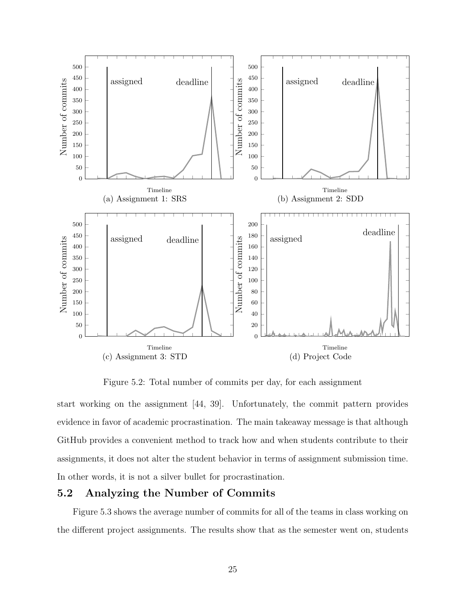<span id="page-32-1"></span>

Figure 5.2: Total number of commits per day, for each assignment

start working on the assignment [\[44,](#page-48-2) [39\]](#page-47-10). Unfortunately, the commit pattern provides evidence in favor of academic procrastination. The main takeaway message is that although GitHub provides a convenient method to track how and when students contribute to their assignments, it does not alter the student behavior in terms of assignment submission time. In other words, it is not a silver bullet for procrastination.

#### <span id="page-32-0"></span>5.2 Analyzing the Number of Commits

Figure [5.3](#page-33-1) shows the average number of commits for all of the teams in class working on the different project assignments. The results show that as the semester went on, students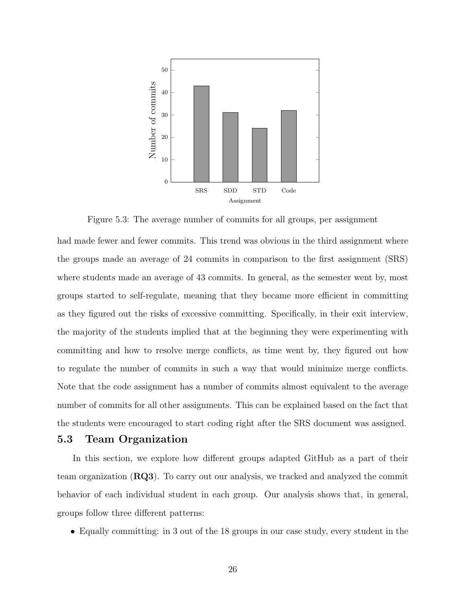<span id="page-33-1"></span>

Figure 5.3: The average number of commits for all groups, per assignment

had made fewer and fewer commits. This trend was obvious in the third assignment where the groups made an average of 24 commits in comparison to the first assignment (SRS) where students made an average of 43 commits. In general, as the semester went by, most groups started to self-regulate, meaning that they became more efficient in committing as they figured out the risks of excessive committing. Specifically, in their exit interview, the majority of the students implied that at the beginning they were experimenting with committing and how to resolve merge conflicts, as time went by, they figured out how to regulate the number of commits in such a way that would minimize merge conflicts. Note that the code assignment has a number of commits almost equivalent to the average number of commits for all other assignments. This can be explained based on the fact that the students were encouraged to start coding right after the SRS document was assigned.

#### <span id="page-33-0"></span>5.3 Team Organization

In this section, we explore how different groups adapted GitHub as a part of their team organization (RQ3). To carry out our analysis, we tracked and analyzed the commit behavior of each individual student in each group. Our analysis shows that, in general, groups follow three different patterns:

• Equally committing: in 3 out of the 18 groups in our case study, every student in the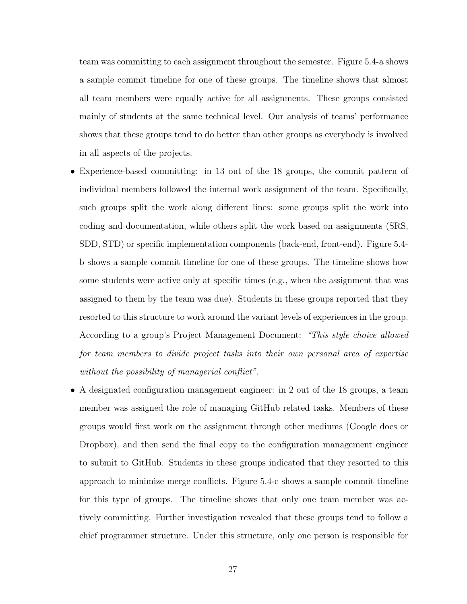team was committing to each assignment throughout the semester. Figure [5.4-](#page-36-0)a shows a sample commit timeline for one of these groups. The timeline shows that almost all team members were equally active for all assignments. These groups consisted mainly of students at the same technical level. Our analysis of teams' performance shows that these groups tend to do better than other groups as everybody is involved in all aspects of the projects.

- Experience-based committing: in 13 out of the 18 groups, the commit pattern of individual members followed the internal work assignment of the team. Specifically, such groups split the work along different lines: some groups split the work into coding and documentation, while others split the work based on assignments (SRS, SDD, STD) or specific implementation components (back-end, front-end). Figure [5.4](#page-36-0) b shows a sample commit timeline for one of these groups. The timeline shows how some students were active only at specific times (e.g., when the assignment that was assigned to them by the team was due). Students in these groups reported that they resorted to this structure to work around the variant levels of experiences in the group. According to a group's Project Management Document: "This style choice allowed for team members to divide project tasks into their own personal area of expertise without the possibility of managerial conflict".
- A designated configuration management engineer: in 2 out of the 18 groups, a team member was assigned the role of managing GitHub related tasks. Members of these groups would first work on the assignment through other mediums (Google docs or Dropbox), and then send the final copy to the configuration management engineer to submit to GitHub. Students in these groups indicated that they resorted to this approach to minimize merge conflicts. Figure [5.4-](#page-36-0)c shows a sample commit timeline for this type of groups. The timeline shows that only one team member was actively committing. Further investigation revealed that these groups tend to follow a chief programmer structure. Under this structure, only one person is responsible for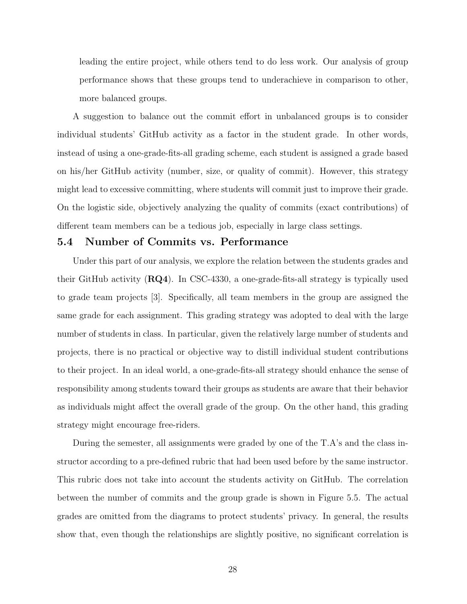leading the entire project, while others tend to do less work. Our analysis of group performance shows that these groups tend to underachieve in comparison to other, more balanced groups.

A suggestion to balance out the commit effort in unbalanced groups is to consider individual students' GitHub activity as a factor in the student grade. In other words, instead of using a one-grade-fits-all grading scheme, each student is assigned a grade based on his/her GitHub activity (number, size, or quality of commit). However, this strategy might lead to excessive committing, where students will commit just to improve their grade. On the logistic side, objectively analyzing the quality of commits (exact contributions) of different team members can be a tedious job, especially in large class settings.

#### <span id="page-35-0"></span>5.4 Number of Commits vs. Performance

Under this part of our analysis, we explore the relation between the students grades and their GitHub activity  $(RQ4)$ . In CSC-4330, a one-grade-fits-all strategy is typically used to grade team projects [\[3\]](#page-45-2). Specifically, all team members in the group are assigned the same grade for each assignment. This grading strategy was adopted to deal with the large number of students in class. In particular, given the relatively large number of students and projects, there is no practical or objective way to distill individual student contributions to their project. In an ideal world, a one-grade-fits-all strategy should enhance the sense of responsibility among students toward their groups as students are aware that their behavior as individuals might affect the overall grade of the group. On the other hand, this grading strategy might encourage free-riders.

During the semester, all assignments were graded by one of the T.A's and the class instructor according to a pre-defined rubric that had been used before by the same instructor. This rubric does not take into account the students activity on GitHub. The correlation between the number of commits and the group grade is shown in Figure [5.5.](#page-37-0) The actual grades are omitted from the diagrams to protect students' privacy. In general, the results show that, even though the relationships are slightly positive, no significant correlation is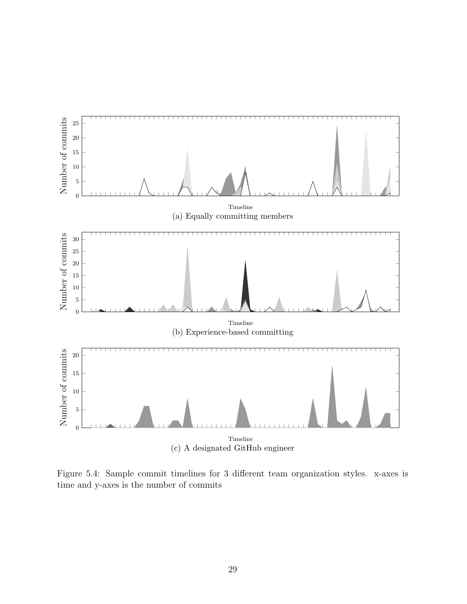<span id="page-36-0"></span>

Figure 5.4: Sample commit timelines for 3 different team organization styles. x-axes is time and y-axes is the number of commits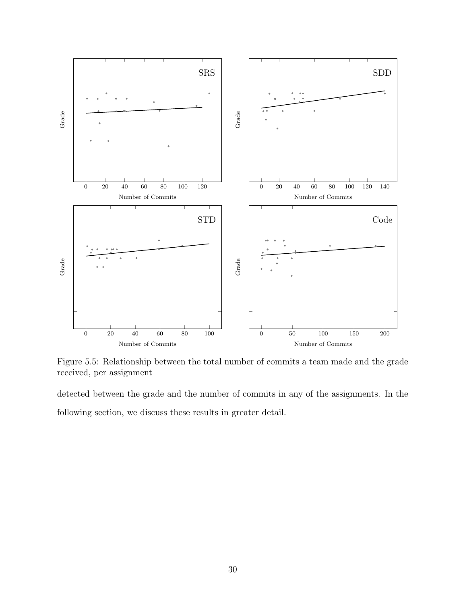<span id="page-37-0"></span>

Figure 5.5: Relationship between the total number of commits a team made and the grade received, per assignment

detected between the grade and the number of commits in any of the assignments. In the following section, we discuss these results in greater detail.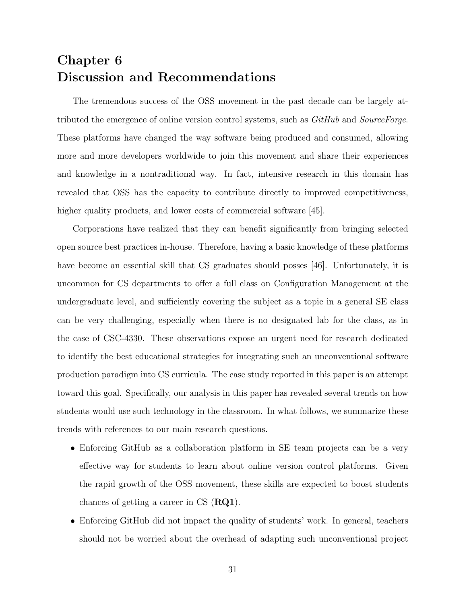## <span id="page-38-0"></span>Chapter 6 Discussion and Recommendations

The tremendous success of the OSS movement in the past decade can be largely attributed the emergence of online version control systems, such as  $GitHub$  and SourceForge. These platforms have changed the way software being produced and consumed, allowing more and more developers worldwide to join this movement and share their experiences and knowledge in a nontraditional way. In fact, intensive research in this domain has revealed that OSS has the capacity to contribute directly to improved competitiveness, higher quality products, and lower costs of commercial software [\[45\]](#page-48-3).

Corporations have realized that they can benefit significantly from bringing selected open source best practices in-house. Therefore, having a basic knowledge of these platforms have become an essential skill that CS graduates should posses [\[46\]](#page-48-4). Unfortunately, it is uncommon for CS departments to offer a full class on Configuration Management at the undergraduate level, and sufficiently covering the subject as a topic in a general SE class can be very challenging, especially when there is no designated lab for the class, as in the case of CSC-4330. These observations expose an urgent need for research dedicated to identify the best educational strategies for integrating such an unconventional software production paradigm into CS curricula. The case study reported in this paper is an attempt toward this goal. Specifically, our analysis in this paper has revealed several trends on how students would use such technology in the classroom. In what follows, we summarize these trends with references to our main research questions.

- Enforcing GitHub as a collaboration platform in SE team projects can be a very effective way for students to learn about online version control platforms. Given the rapid growth of the OSS movement, these skills are expected to boost students chances of getting a career in  $CS$  ( $RQ1$ ).
- Enforcing GitHub did not impact the quality of students' work. In general, teachers should not be worried about the overhead of adapting such unconventional project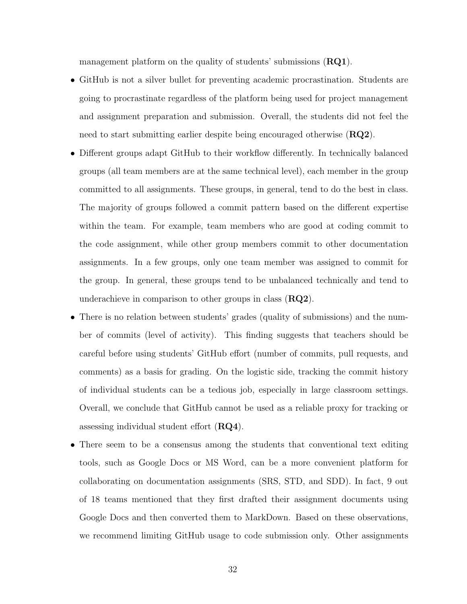management platform on the quality of students' submissions  $(RQ1)$ .

- GitHub is not a silver bullet for preventing academic procrastination. Students are going to procrastinate regardless of the platform being used for project management and assignment preparation and submission. Overall, the students did not feel the need to start submitting earlier despite being encouraged otherwise  $(RQ2)$ .
- Different groups adapt GitHub to their workflow differently. In technically balanced groups (all team members are at the same technical level), each member in the group committed to all assignments. These groups, in general, tend to do the best in class. The majority of groups followed a commit pattern based on the different expertise within the team. For example, team members who are good at coding commit to the code assignment, while other group members commit to other documentation assignments. In a few groups, only one team member was assigned to commit for the group. In general, these groups tend to be unbalanced technically and tend to underachieve in comparison to other groups in class  $(RQ2)$ .
- There is no relation between students' grades (quality of submissions) and the number of commits (level of activity). This finding suggests that teachers should be careful before using students' GitHub effort (number of commits, pull requests, and comments) as a basis for grading. On the logistic side, tracking the commit history of individual students can be a tedious job, especially in large classroom settings. Overall, we conclude that GitHub cannot be used as a reliable proxy for tracking or assessing individual student effort  $(RQ4)$ .
- There seem to be a consensus among the students that conventional text editing tools, such as Google Docs or MS Word, can be a more convenient platform for collaborating on documentation assignments (SRS, STD, and SDD). In fact, 9 out of 18 teams mentioned that they first drafted their assignment documents using Google Docs and then converted them to MarkDown. Based on these observations, we recommend limiting GitHub usage to code submission only. Other assignments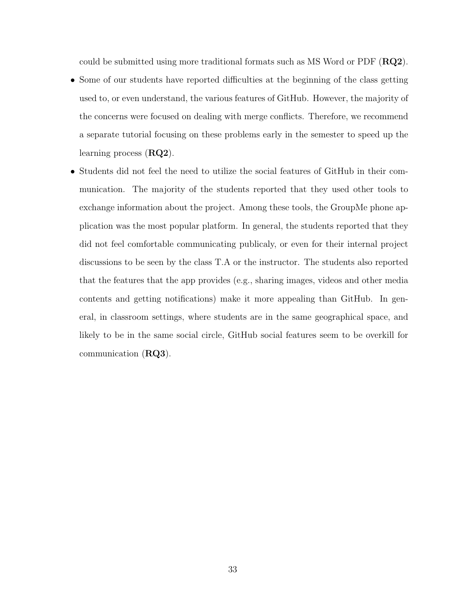could be submitted using more traditional formats such as MS Word or PDF  $(RQ2)$ .

- Some of our students have reported difficulties at the beginning of the class getting used to, or even understand, the various features of GitHub. However, the majority of the concerns were focused on dealing with merge conflicts. Therefore, we recommend a separate tutorial focusing on these problems early in the semester to speed up the learning process  $(RQ2)$ .
- Students did not feel the need to utilize the social features of GitHub in their communication. The majority of the students reported that they used other tools to exchange information about the project. Among these tools, the GroupMe phone application was the most popular platform. In general, the students reported that they did not feel comfortable communicating publicaly, or even for their internal project discussions to be seen by the class T.A or the instructor. The students also reported that the features that the app provides (e.g., sharing images, videos and other media contents and getting notifications) make it more appealing than GitHub. In general, in classroom settings, where students are in the same geographical space, and likely to be in the same social circle, GitHub social features seem to be overkill for communication (RQ3).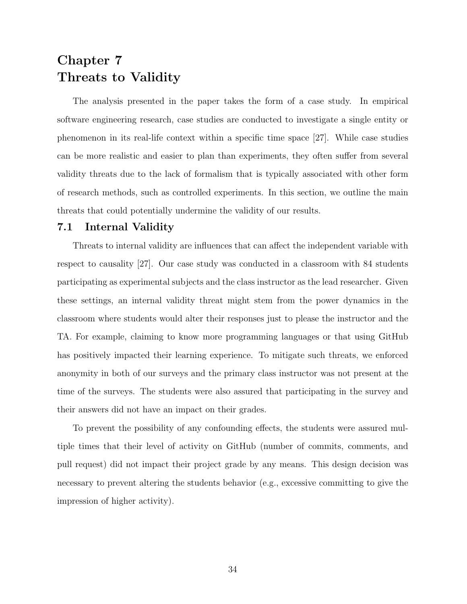### <span id="page-41-0"></span>Chapter 7 Threats to Validity

The analysis presented in the paper takes the form of a case study. In empirical software engineering research, case studies are conducted to investigate a single entity or phenomenon in its real-life context within a specific time space [\[27\]](#page-46-13). While case studies can be more realistic and easier to plan than experiments, they often suffer from several validity threats due to the lack of formalism that is typically associated with other form of research methods, such as controlled experiments. In this section, we outline the main threats that could potentially undermine the validity of our results.

#### <span id="page-41-1"></span>7.1 Internal Validity

Threats to internal validity are influences that can affect the independent variable with respect to causality [\[27\]](#page-46-13). Our case study was conducted in a classroom with 84 students participating as experimental subjects and the class instructor as the lead researcher. Given these settings, an internal validity threat might stem from the power dynamics in the classroom where students would alter their responses just to please the instructor and the TA. For example, claiming to know more programming languages or that using GitHub has positively impacted their learning experience. To mitigate such threats, we enforced anonymity in both of our surveys and the primary class instructor was not present at the time of the surveys. The students were also assured that participating in the survey and their answers did not have an impact on their grades.

To prevent the possibility of any confounding effects, the students were assured multiple times that their level of activity on GitHub (number of commits, comments, and pull request) did not impact their project grade by any means. This design decision was necessary to prevent altering the students behavior (e.g., excessive committing to give the impression of higher activity).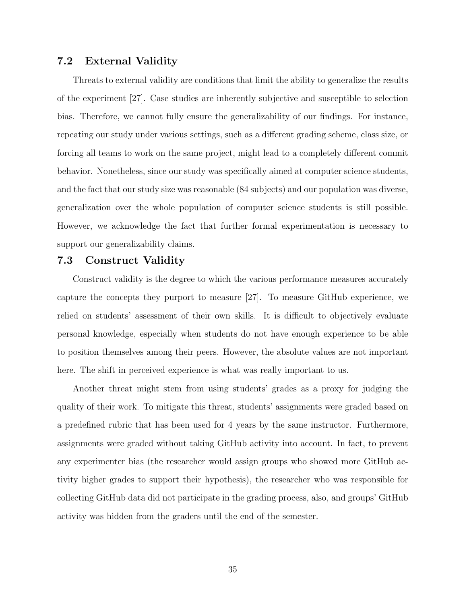#### <span id="page-42-0"></span>7.2 External Validity

Threats to external validity are conditions that limit the ability to generalize the results of the experiment [\[27\]](#page-46-13). Case studies are inherently subjective and susceptible to selection bias. Therefore, we cannot fully ensure the generalizability of our findings. For instance, repeating our study under various settings, such as a different grading scheme, class size, or forcing all teams to work on the same project, might lead to a completely different commit behavior. Nonetheless, since our study was specifically aimed at computer science students, and the fact that our study size was reasonable (84 subjects) and our population was diverse, generalization over the whole population of computer science students is still possible. However, we acknowledge the fact that further formal experimentation is necessary to support our generalizability claims.

#### <span id="page-42-1"></span>7.3 Construct Validity

Construct validity is the degree to which the various performance measures accurately capture the concepts they purport to measure [\[27\]](#page-46-13). To measure GitHub experience, we relied on students' assessment of their own skills. It is difficult to objectively evaluate personal knowledge, especially when students do not have enough experience to be able to position themselves among their peers. However, the absolute values are not important here. The shift in perceived experience is what was really important to us.

Another threat might stem from using students' grades as a proxy for judging the quality of their work. To mitigate this threat, students' assignments were graded based on a predefined rubric that has been used for 4 years by the same instructor. Furthermore, assignments were graded without taking GitHub activity into account. In fact, to prevent any experimenter bias (the researcher would assign groups who showed more GitHub activity higher grades to support their hypothesis), the researcher who was responsible for collecting GitHub data did not participate in the grading process, also, and groups' GitHub activity was hidden from the graders until the end of the semester.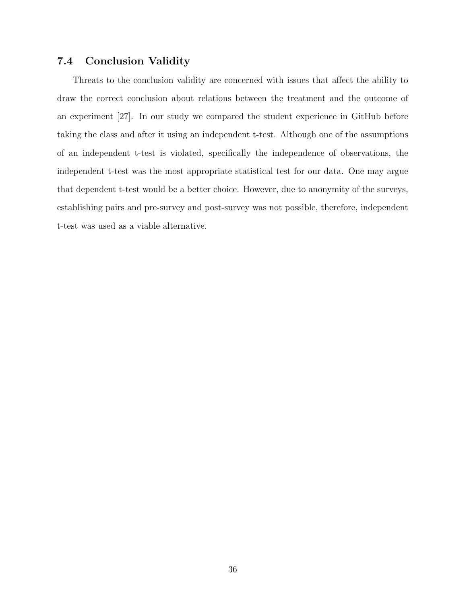#### <span id="page-43-0"></span>7.4 Conclusion Validity

Threats to the conclusion validity are concerned with issues that affect the ability to draw the correct conclusion about relations between the treatment and the outcome of an experiment [\[27\]](#page-46-13). In our study we compared the student experience in GitHub before taking the class and after it using an independent t-test. Although one of the assumptions of an independent t-test is violated, specifically the independence of observations, the independent t-test was the most appropriate statistical test for our data. One may argue that dependent t-test would be a better choice. However, due to anonymity of the surveys, establishing pairs and pre-survey and post-survey was not possible, therefore, independent t-test was used as a viable alternative.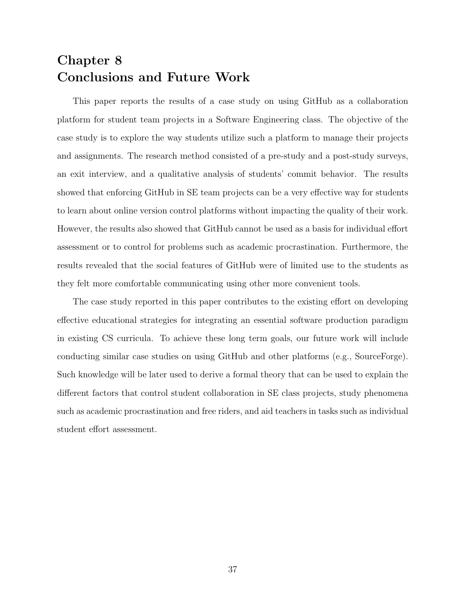### <span id="page-44-0"></span>Chapter 8 Conclusions and Future Work

This paper reports the results of a case study on using GitHub as a collaboration platform for student team projects in a Software Engineering class. The objective of the case study is to explore the way students utilize such a platform to manage their projects and assignments. The research method consisted of a pre-study and a post-study surveys, an exit interview, and a qualitative analysis of students' commit behavior. The results showed that enforcing GitHub in SE team projects can be a very effective way for students to learn about online version control platforms without impacting the quality of their work. However, the results also showed that GitHub cannot be used as a basis for individual effort assessment or to control for problems such as academic procrastination. Furthermore, the results revealed that the social features of GitHub were of limited use to the students as they felt more comfortable communicating using other more convenient tools.

The case study reported in this paper contributes to the existing effort on developing effective educational strategies for integrating an essential software production paradigm in existing CS curricula. To achieve these long term goals, our future work will include conducting similar case studies on using GitHub and other platforms (e.g., SourceForge). Such knowledge will be later used to derive a formal theory that can be used to explain the different factors that control student collaboration in SE class projects, study phenomena such as academic procrastination and free riders, and aid teachers in tasks such as individual student effort assessment.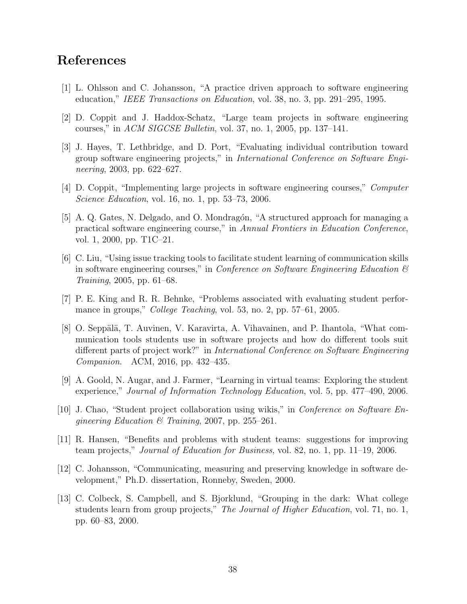### References

- <span id="page-45-0"></span>[1] L. Ohlsson and C. Johansson, "A practice driven approach to software engineering education," IEEE Transactions on Education, vol. 38, no. 3, pp. 291–295, 1995.
- <span id="page-45-1"></span>[2] D. Coppit and J. Haddox-Schatz, "Large team projects in software engineering courses," in ACM SIGCSE Bulletin, vol. 37, no. 1, 2005, pp. 137–141.
- <span id="page-45-2"></span>[3] J. Hayes, T. Lethbridge, and D. Port, "Evaluating individual contribution toward group software engineering projects," in International Conference on Software Engineering, 2003, pp. 622–627.
- <span id="page-45-3"></span>[4] D. Coppit, "Implementing large projects in software engineering courses," Computer Science Education, vol. 16, no. 1, pp. 53–73, 2006.
- <span id="page-45-4"></span>[5] A. Q. Gates, N. Delgado, and O. Mondragón, "A structured approach for managing a practical software engineering course," in Annual Frontiers in Education Conference, vol. 1, 2000, pp. T1C–21.
- <span id="page-45-5"></span>[6] C. Liu, "Using issue tracking tools to facilitate student learning of communication skills in software engineering courses," in *Conference on Software Engineering Education*  $\mathcal{B}$ Training, 2005, pp. 61–68.
- <span id="page-45-6"></span>[7] P. E. King and R. R. Behnke, "Problems associated with evaluating student performance in groups," *College Teaching*, vol. 53, no. 2, pp. 57–61, 2005.
- <span id="page-45-7"></span>[8] O. Seppälä, T. Auvinen, V. Karavirta, A. Vihavainen, and P. Ihantola, "What communication tools students use in software projects and how do different tools suit different parts of project work?" in International Conference on Software Engineering Companion. ACM, 2016, pp. 432–435.
- <span id="page-45-8"></span>[9] A. Goold, N. Augar, and J. Farmer, "Learning in virtual teams: Exploring the student experience," Journal of Information Technology Education, vol. 5, pp. 477–490, 2006.
- <span id="page-45-9"></span>[10] J. Chao, "Student project collaboration using wikis," in Conference on Software Engineering Education & Training, 2007, pp. 255–261.
- <span id="page-45-10"></span>[11] R. Hansen, "Benefits and problems with student teams: suggestions for improving team projects," Journal of Education for Business, vol. 82, no. 1, pp. 11–19, 2006.
- <span id="page-45-11"></span>[12] C. Johansson, "Communicating, measuring and preserving knowledge in software development," Ph.D. dissertation, Ronneby, Sweden, 2000.
- <span id="page-45-12"></span>[13] C. Colbeck, S. Campbell, and S. Bjorklund, "Grouping in the dark: What college students learn from group projects," The Journal of Higher Education, vol. 71, no. 1, pp. 60–83, 2000.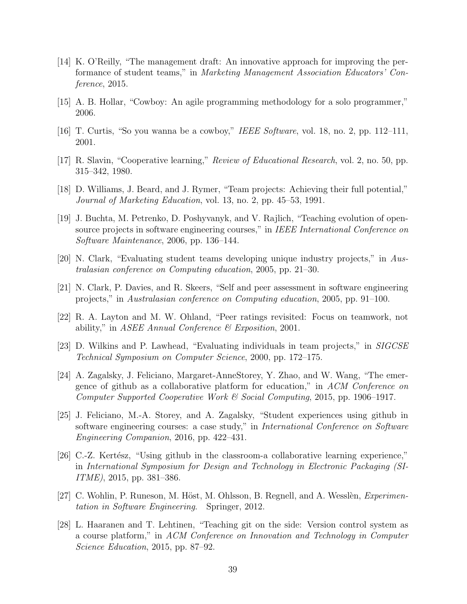- <span id="page-46-0"></span>[14] K. O'Reilly, "The management draft: An innovative approach for improving the performance of student teams," in Marketing Management Association Educators' Conference, 2015.
- <span id="page-46-1"></span>[15] A. B. Hollar, "Cowboy: An agile programming methodology for a solo programmer," 2006.
- <span id="page-46-2"></span>[16] T. Curtis, "So you wanna be a cowboy," IEEE Software, vol. 18, no. 2, pp. 112–111, 2001.
- <span id="page-46-3"></span>[17] R. Slavin, "Cooperative learning," Review of Educational Research, vol. 2, no. 50, pp. 315–342, 1980.
- <span id="page-46-4"></span>[18] D. Williams, J. Beard, and J. Rymer, "Team projects: Achieving their full potential," Journal of Marketing Education, vol. 13, no. 2, pp. 45–53, 1991.
- <span id="page-46-5"></span>[19] J. Buchta, M. Petrenko, D. Poshyvanyk, and V. Rajlich, "Teaching evolution of opensource projects in software engineering courses," in IEEE International Conference on Software Maintenance, 2006, pp. 136–144.
- <span id="page-46-6"></span>[20] N. Clark, "Evaluating student teams developing unique industry projects," in Australasian conference on Computing education, 2005, pp. 21–30.
- <span id="page-46-7"></span>[21] N. Clark, P. Davies, and R. Skeers, "Self and peer assessment in software engineering projects," in Australasian conference on Computing education, 2005, pp. 91–100.
- <span id="page-46-8"></span>[22] R. A. Layton and M. W. Ohland, "Peer ratings revisited: Focus on teamwork, not ability," in ASEE Annual Conference  $\mathcal C$  Exposition, 2001.
- <span id="page-46-9"></span>[23] D. Wilkins and P. Lawhead, "Evaluating individuals in team projects," in SIGCSE Technical Symposium on Computer Science, 2000, pp. 172–175.
- <span id="page-46-10"></span>[24] A. Zagalsky, J. Feliciano, Margaret-AnneStorey, Y. Zhao, and W. Wang, "The emergence of github as a collaborative platform for education," in ACM Conference on Computer Supported Cooperative Work & Social Computing, 2015, pp. 1906–1917.
- <span id="page-46-11"></span>[25] J. Feliciano, M.-A. Storey, and A. Zagalsky, "Student experiences using github in software engineering courses: a case study," in International Conference on Software Engineering Companion, 2016, pp. 422–431.
- <span id="page-46-12"></span>[26] C.-Z. Kertész, "Using github in the classroom-a collaborative learning experience," in International Symposium for Design and Technology in Electronic Packaging (SI-ITME), 2015, pp. 381–386.
- <span id="page-46-13"></span>[27] C. Wohlin, P. Runeson, M. Höst, M. Ohlsson, B. Regnell, and A. Wesslèn, *Experimen*tation in Software Engineering. Springer, 2012.
- <span id="page-46-14"></span>[28] L. Haaranen and T. Lehtinen, "Teaching git on the side: Version control system as a course platform," in ACM Conference on Innovation and Technology in Computer Science Education, 2015, pp. 87–92.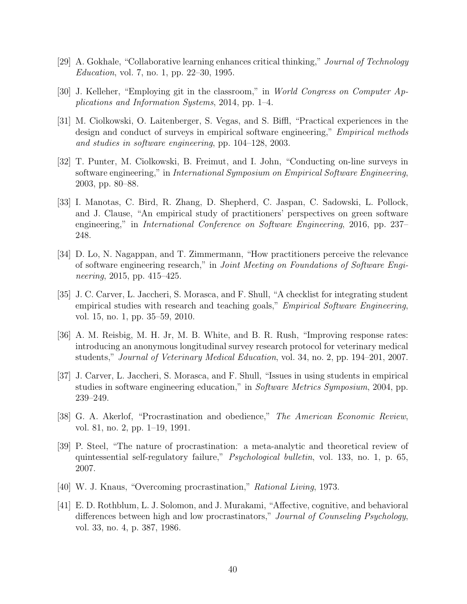- <span id="page-47-0"></span>[29] A. Gokhale, "Collaborative learning enhances critical thinking," Journal of Technology Education, vol. 7, no. 1, pp. 22–30, 1995.
- <span id="page-47-1"></span>[30] J. Kelleher, "Employing git in the classroom," in World Congress on Computer Applications and Information Systems, 2014, pp. 1–4.
- <span id="page-47-2"></span>[31] M. Ciolkowski, O. Laitenberger, S. Vegas, and S. Biffl, "Practical experiences in the design and conduct of surveys in empirical software engineering," *Empirical methods* and studies in software engineering, pp. 104–128, 2003.
- <span id="page-47-3"></span>[32] T. Punter, M. Ciolkowski, B. Freimut, and I. John, "Conducting on-line surveys in software engineering," in International Symposium on Empirical Software Engineering, 2003, pp. 80–88.
- <span id="page-47-4"></span>[33] I. Manotas, C. Bird, R. Zhang, D. Shepherd, C. Jaspan, C. Sadowski, L. Pollock, and J. Clause, "An empirical study of practitioners' perspectives on green software engineering," in International Conference on Software Engineering, 2016, pp. 237– 248.
- <span id="page-47-5"></span>[34] D. Lo, N. Nagappan, and T. Zimmermann, "How practitioners perceive the relevance of software engineering research," in Joint Meeting on Foundations of Software Engineering, 2015, pp. 415–425.
- <span id="page-47-6"></span>[35] J. C. Carver, L. Jaccheri, S. Morasca, and F. Shull, "A checklist for integrating student empirical studies with research and teaching goals," *Empirical Software Engineering*, vol. 15, no. 1, pp. 35–59, 2010.
- <span id="page-47-7"></span>[36] A. M. Reisbig, M. H. Jr, M. B. White, and B. R. Rush, "Improving response rates: introducing an anonymous longitudinal survey research protocol for veterinary medical students," Journal of Veterinary Medical Education, vol. 34, no. 2, pp. 194–201, 2007.
- <span id="page-47-8"></span>[37] J. Carver, L. Jaccheri, S. Morasca, and F. Shull, "Issues in using students in empirical studies in software engineering education," in Software Metrics Symposium, 2004, pp. 239–249.
- <span id="page-47-9"></span>[38] G. A. Akerlof, "Procrastination and obedience," The American Economic Review, vol. 81, no. 2, pp. 1–19, 1991.
- <span id="page-47-10"></span>[39] P. Steel, "The nature of procrastination: a meta-analytic and theoretical review of quintessential self-regulatory failure," Psychological bulletin, vol. 133, no. 1, p. 65, 2007.
- <span id="page-47-11"></span>[40] W. J. Knaus, "Overcoming procrastination," Rational Living, 1973.
- <span id="page-47-12"></span>[41] E. D. Rothblum, L. J. Solomon, and J. Murakami, "Affective, cognitive, and behavioral differences between high and low procrastinators," Journal of Counseling Psychology, vol. 33, no. 4, p. 387, 1986.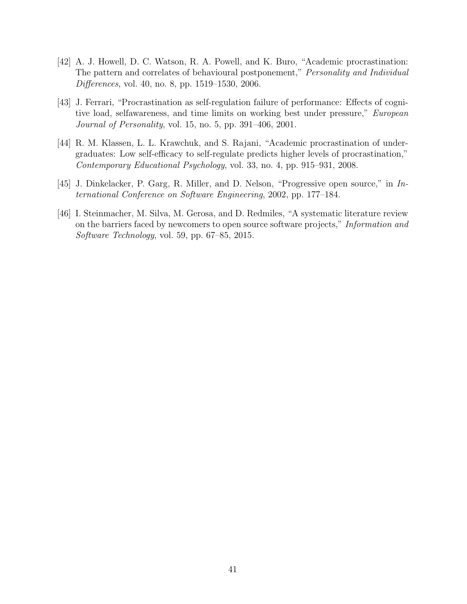- <span id="page-48-0"></span>[42] A. J. Howell, D. C. Watson, R. A. Powell, and K. Buro, "Academic procrastination: The pattern and correlates of behavioural postponement," Personality and Individual Differences, vol. 40, no. 8, pp. 1519–1530, 2006.
- <span id="page-48-1"></span>[43] J. Ferrari, "Procrastination as self-regulation failure of performance: Effects of cognitive load, selfawareness, and time limits on working best under pressure," European Journal of Personality, vol. 15, no. 5, pp. 391–406, 2001.
- <span id="page-48-2"></span>[44] R. M. Klassen, L. L. Krawchuk, and S. Rajani, "Academic procrastination of undergraduates: Low self-efficacy to self-regulate predicts higher levels of procrastination," Contemporary Educational Psychology, vol. 33, no. 4, pp. 915–931, 2008.
- <span id="page-48-3"></span>[45] J. Dinkelacker, P. Garg, R. Miller, and D. Nelson, "Progressive open source," in International Conference on Software Engineering, 2002, pp. 177–184.
- <span id="page-48-4"></span>[46] I. Steinmacher, M. Silva, M. Gerosa, and D. Redmiles, "A systematic literature review on the barriers faced by newcomers to open source software projects," Information and Software Technology, vol. 59, pp. 67–85, 2015.